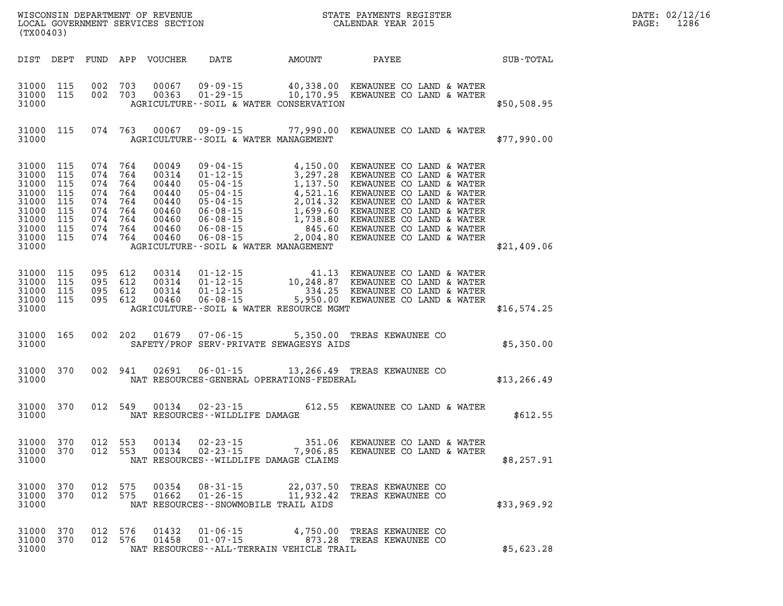| (TX00403)                                                                                                                  |                        |         |                                                     |                                                                                                               |                                                                     |                                                                                                                                                                                                                                                                            | $\mathbb{E} \mathbb{E} \mathbb{E} \mathbb{E} \left[ \mathbb{E} \left[ \mathbb{E} \left[ \mathbb{E} \left[ \mathbb{E} \left[ \mathbb{E} \left[ \mathbb{E} \left[ \mathbb{E} \left[ \mathbb{E} \left[ \mathbb{E} \left[ \mathbb{E} \left[ \mathbb{E} \left[ \mathbb{E} \left[ \mathbb{E} \left[ \mathbb{E} \left[ \mathbb{E} \left[ \mathbb{E} \left[ \mathbb{E} \left[ \mathbb{E} \left[ \mathbb{E} \left[ \mathbb{E} \left[ \mathbb{E} \left[ \mathbb{$ | DATE: 02/12/16<br>$\mathtt{PAGE:}$<br>1286 |
|----------------------------------------------------------------------------------------------------------------------------|------------------------|---------|-----------------------------------------------------|---------------------------------------------------------------------------------------------------------------|---------------------------------------------------------------------|----------------------------------------------------------------------------------------------------------------------------------------------------------------------------------------------------------------------------------------------------------------------------|---------------------------------------------------------------------------------------------------------------------------------------------------------------------------------------------------------------------------------------------------------------------------------------------------------------------------------------------------------------------------------------------------------------------------------------------------------|--------------------------------------------|
|                                                                                                                            |                        |         |                                                     |                                                                                                               |                                                                     | DIST DEPT FUND APP VOUCHER DATE AMOUNT PAYEE TOTAL                                                                                                                                                                                                                         |                                                                                                                                                                                                                                                                                                                                                                                                                                                         |                                            |
| 31000                                                                                                                      | 31000 115<br>31000 115 |         |                                                     |                                                                                                               | AGRICULTURE--SOIL & WATER CONSERVATION                              | 002 703 00067 09-09-15 40,338.00 KEWAUNEE CO LAND & WATER<br>002 703 00363 01-29-15 10,170.95 KEWAUNEE CO LAND & WATER                                                                                                                                                     | \$50,508.95                                                                                                                                                                                                                                                                                                                                                                                                                                             |                                            |
| 31000                                                                                                                      | 31000 115              |         |                                                     |                                                                                                               | AGRICULTURE--SOIL & WATER MANAGEMENT                                | 074 763 00067 09-09-15 77,990.00 KEWAUNEE CO LAND & WATER                                                                                                                                                                                                                  | \$77,990.00                                                                                                                                                                                                                                                                                                                                                                                                                                             |                                            |
| 31000 115<br>31000 115<br>31000 115<br>31000 115<br>31000 115<br>31000 115<br>31000 115<br>31000 115<br>31000 115<br>31000 |                        |         | 074 764<br>074 764<br>074 764<br>074 764<br>074 764 | 00049<br>00314<br>00440<br>00440<br>00440<br>074 764 00460<br>074 764 00460<br>074 764 00460<br>074 764 00460 | AGRICULTURE--SOIL & WATER MANAGEMENT                                | 09-04-15<br>01-12-15<br>05-04-15<br>05-04-15<br>05-04-15<br>05-04-15<br>05-04-15<br>05-04-15<br>05-04-15<br>05-04-15<br>06-08-15<br>06-08-15<br>1,699.60<br>06-08-15<br>06-08-15<br>06-08-15<br>06-08-15<br>06-08-15<br>06-08-15<br>06-08-15<br>06-08-15<br>06-08-15<br>06 | \$21,409.06                                                                                                                                                                                                                                                                                                                                                                                                                                             |                                            |
| 31000 115<br>31000 115<br>31000 115<br>31000 115<br>31000                                                                  |                        | 095 612 | 095 612<br>095 612<br>095 612                       |                                                                                                               | AGRICULTURE--SOIL & WATER RESOURCE MGMT                             |                                                                                                                                                                                                                                                                            | \$16,574.25                                                                                                                                                                                                                                                                                                                                                                                                                                             |                                            |
| 31000                                                                                                                      | 31000 165              |         |                                                     |                                                                                                               | SAFETY/PROF SERV-PRIVATE SEWAGESYS AIDS                             | 002 202 01679 07-06-15 5,350.00 TREAS KEWAUNEE CO                                                                                                                                                                                                                          | \$5,350.00                                                                                                                                                                                                                                                                                                                                                                                                                                              |                                            |
| 31000                                                                                                                      | 31000 370              |         |                                                     |                                                                                                               |                                                                     | 002 941 02691 06-01-15 13,266.49 TREAS KEWAUNEE CO<br>NAT RESOURCES-GENERAL OPERATIONS-FEDERAL                                                                                                                                                                             | \$13, 266.49                                                                                                                                                                                                                                                                                                                                                                                                                                            |                                            |
| 31000 370<br>31000                                                                                                         |                        |         |                                                     |                                                                                                               | NAT RESOURCES--WILDLIFE DAMAGE                                      | 012 549 00134 02-23-15 612.55 KEWAUNEE CO LAND & WATER                                                                                                                                                                                                                     | \$612.55                                                                                                                                                                                                                                                                                                                                                                                                                                                |                                            |
| 31000 370<br>31000                                                                                                         |                        | 012 553 |                                                     | 00134                                                                                                         | $02 - 23 - 15$<br>NAT RESOURCES--WILDLIFE DAMAGE CLAIMS             | 351.06 KEWAUNEE CO LAND & WATER<br>31000 370 012 553 00134 02-23-15 7,906.85 KEWAUNEE CO LAND & WATER                                                                                                                                                                      | \$8,257.91                                                                                                                                                                                                                                                                                                                                                                                                                                              |                                            |
| 31000 370<br>31000 370<br>31000                                                                                            |                        |         | 012 575<br>012 575                                  | 00354<br>01662                                                                                                | $01 - 26 - 15$ 11,932.42<br>NAT RESOURCES - - SNOWMOBILE TRAIL AIDS | 08-31-15 22,037.50 TREAS KEWAUNEE CO<br>TREAS KEWAUNEE CO                                                                                                                                                                                                                  | \$33,969.92                                                                                                                                                                                                                                                                                                                                                                                                                                             |                                            |
| 31000 370<br>31000 370<br>31000                                                                                            |                        | 012 576 | 012 576                                             | 01432<br>01458                                                                                                | NAT RESOURCES--ALL-TERRAIN VEHICLE TRAIL                            | 01-06-15 4,750.00 TREAS KEWAUNEE CO<br>01-07-15 873.28 TREAS KEWAUNEE CO                                                                                                                                                                                                   | \$5,623.28                                                                                                                                                                                                                                                                                                                                                                                                                                              |                                            |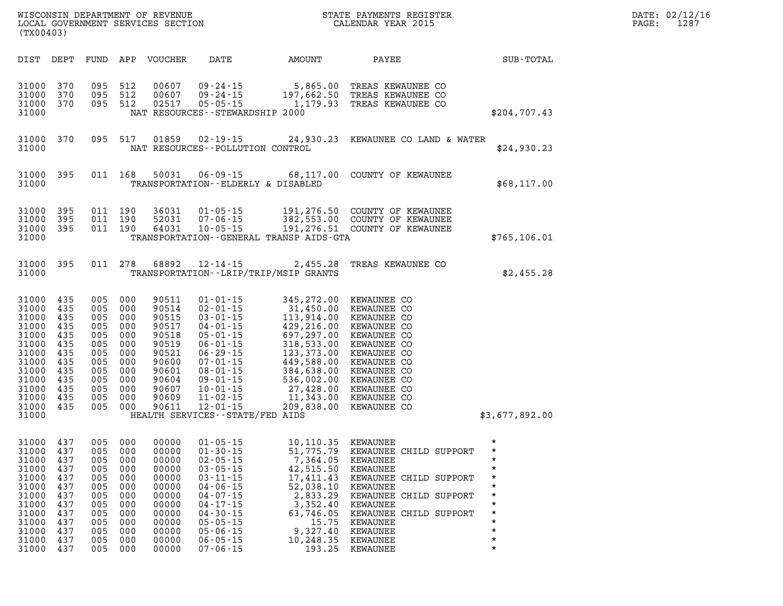| (TX00403)                                                                                                                  |                                                                                         |                                                                                         |                                                                                         | WISCONSIN DEPARTMENT OF REVENUE<br>LOCAL GOVERNMENT SERVICES SECTION                                              |                                                                                                                                                                                                                                                                              |                                                                                                                                                                                 | STATE PAYMENTS REGISTER<br>CALENDAR YEAR 2015                                                                                                                                                                    |                                                                                                                                               |
|----------------------------------------------------------------------------------------------------------------------------|-----------------------------------------------------------------------------------------|-----------------------------------------------------------------------------------------|-----------------------------------------------------------------------------------------|-------------------------------------------------------------------------------------------------------------------|------------------------------------------------------------------------------------------------------------------------------------------------------------------------------------------------------------------------------------------------------------------------------|---------------------------------------------------------------------------------------------------------------------------------------------------------------------------------|------------------------------------------------------------------------------------------------------------------------------------------------------------------------------------------------------------------|-----------------------------------------------------------------------------------------------------------------------------------------------|
| DIST                                                                                                                       | DEPT                                                                                    | FUND                                                                                    | APP                                                                                     | VOUCHER                                                                                                           | DATE                                                                                                                                                                                                                                                                         | AMOUNT                                                                                                                                                                          | PAYEE                                                                                                                                                                                                            | SUB-TOTAL                                                                                                                                     |
| 31000<br>31000<br>31000<br>31000                                                                                           | 370<br>370<br>370                                                                       | 095<br>095<br>095                                                                       | 512<br>512<br>512                                                                       | 00607<br>00607<br>02517                                                                                           | $09 - 24 - 15$<br>$09 - 24 - 15$<br>$05 - 05 - 15$<br>NAT RESOURCES - - STEWARDSHIP 2000                                                                                                                                                                                     | 5,865.00<br>197,662.50<br>1,179.93                                                                                                                                              | TREAS KEWAUNEE CO<br>TREAS KEWAUNEE CO<br>TREAS KEWAUNEE CO                                                                                                                                                      | \$204,707.43                                                                                                                                  |
| 31000<br>31000                                                                                                             | 370                                                                                     | 095                                                                                     | 517                                                                                     | 01859                                                                                                             | $02 - 19 - 15$<br>NAT RESOURCES - - POLLUTION CONTROL                                                                                                                                                                                                                        | 24,930.23                                                                                                                                                                       | KEWAUNEE CO LAND & WATER                                                                                                                                                                                         | \$24,930.23                                                                                                                                   |
| 31000<br>31000                                                                                                             | 395                                                                                     | 011                                                                                     | 168                                                                                     | 50031                                                                                                             | $06 - 09 - 15$<br>TRANSPORTATION--ELDERLY & DISABLED                                                                                                                                                                                                                         | 68,117.00                                                                                                                                                                       | COUNTY OF KEWAUNEE                                                                                                                                                                                               | \$68,117.00                                                                                                                                   |
| 31000<br>31000<br>31000<br>31000                                                                                           | 395<br>395<br>395                                                                       | 011<br>011<br>011                                                                       | 190<br>190<br>190                                                                       | 36031<br>52031<br>64031                                                                                           | $01 - 05 - 15$<br>$07 - 06 - 15$<br>$10 - 05 - 15$                                                                                                                                                                                                                           | 191,276.50<br>382,553.00<br>191,276.51<br>TRANSPORTATION - - GENERAL TRANSP AIDS - GTA                                                                                          | COUNTY OF KEWAUNEE<br>COUNTY OF KEWAUNEE<br>COUNTY OF KEWAUNEE                                                                                                                                                   | \$765, 106.01                                                                                                                                 |
| 31000<br>31000                                                                                                             | 395                                                                                     | 011                                                                                     | 278                                                                                     | 68892                                                                                                             | $12 - 14 - 15$                                                                                                                                                                                                                                                               | 2,455.28<br>TRANSPORTATION - - LRIP/TRIP/MSIP GRANTS                                                                                                                            | TREAS KEWAUNEE CO                                                                                                                                                                                                | \$2,455.28                                                                                                                                    |
| 31000<br>31000<br>31000<br>31000<br>31000<br>31000<br>31000<br>31000<br>31000<br>31000<br>31000<br>31000<br>31000<br>31000 | 435<br>435<br>435<br>435<br>435<br>435<br>435<br>435<br>435<br>435<br>435<br>435<br>435 | 005<br>005<br>005<br>005<br>005<br>005<br>005<br>005<br>005<br>005<br>005<br>005<br>005 | 000<br>000<br>000<br>000<br>000<br>000<br>000<br>000<br>000<br>000<br>000<br>000<br>000 | 90511<br>90514<br>90515<br>90517<br>90518<br>90519<br>90521<br>90600<br>90601<br>90604<br>90607<br>90609<br>90611 | $01 - 01 - 15$<br>$02 - 01 - 15$<br>$03 - 01 - 15$<br>$04 - 01 - 15$<br>$05 - 01 - 15$<br>$06 - 01 - 15$<br>$06 - 29 - 15$<br>$07 - 01 - 15$<br>$08 - 01 - 15$<br>$09 - 01 - 15$<br>$10 - 01 - 15$<br>$11 - 02 - 15$<br>$12 - 01 - 15$<br>HEALTH SERVICES - - STATE/FED AIDS | 345,272.00<br>31,450.00<br>113,914.00<br>429,216.00<br>697,297.00<br>318,533.00<br>123,373.00<br>449,588.00<br>384,638.00<br>536,002.00<br>27,428.00<br>11,343.00<br>209,838.00 | KEWAUNEE CO<br>KEWAUNEE CO<br>KEWAUNEE CO<br>KEWAUNEE CO<br>KEWAUNEE CO<br>KEWAUNEE CO<br>KEWAUNEE CO<br>KEWAUNEE CO<br>KEWAUNEE CO<br>KEWAUNEE CO<br>KEWAUNEE CO<br>KEWAUNEE CO<br>KEWAUNEE CO                  | \$3,677,892.00                                                                                                                                |
| 31000<br>31000<br>31000<br>31000<br>31000<br>31000<br>31000<br>31000<br>31000<br>31000<br>31000<br>31000<br>31000          | 437<br>437<br>437<br>437<br>437<br>437<br>437<br>437<br>437<br>437<br>437<br>437<br>437 | 005<br>005<br>005<br>005<br>005<br>005<br>005<br>005<br>005<br>005<br>005<br>005<br>005 | 000<br>000<br>000<br>000<br>000<br>000<br>000<br>000<br>000<br>000<br>000<br>000<br>000 | 00000<br>00000<br>00000<br>00000<br>00000<br>00000<br>00000<br>00000<br>00000<br>00000<br>00000<br>00000<br>00000 | $01 - 05 - 15$<br>$01 - 30 - 15$<br>$02 - 05 - 15$<br>$03 - 05 - 15$<br>$03 - 11 - 15$<br>$04 - 06 - 15$<br>$04 - 07 - 15$<br>04-17-15<br>$04 - 30 - 15$<br>$05 - 05 - 15$<br>$05 - 06 - 15$<br>$06 - 05 - 15$<br>$07 - 06 - 15$                                             | 10,110.35<br>51,775.79<br>7,364.05<br>42,515.50<br>17,411.43<br>52,038.10<br>2,833.29<br>3,352.40<br>63,746.05<br>15.75<br>9,327.40<br>10,248.35<br>193.25                      | KEWAUNEE<br>KEWAUNEE CHILD SUPPORT<br>KEWAUNEE<br>KEWAUNEE<br>KEWAUNEE CHILD SUPPORT<br>KEWAUNEE<br>KEWAUNEE CHILD SUPPORT<br>KEWAUNEE<br>KEWAUNEE CHILD SUPPORT<br>KEWAUNEE<br>KEWAUNEE<br>KEWAUNEE<br>KEWAUNEE | $\star$<br>$\star$<br>$\star$<br>$\star$<br>$\star$<br>$\star$<br>$^\star$<br>$\star$<br>$^\star$<br>$\star$<br>$\star$<br>$\star$<br>$\star$ |

DATE: 02/12/16 PAGE: 1287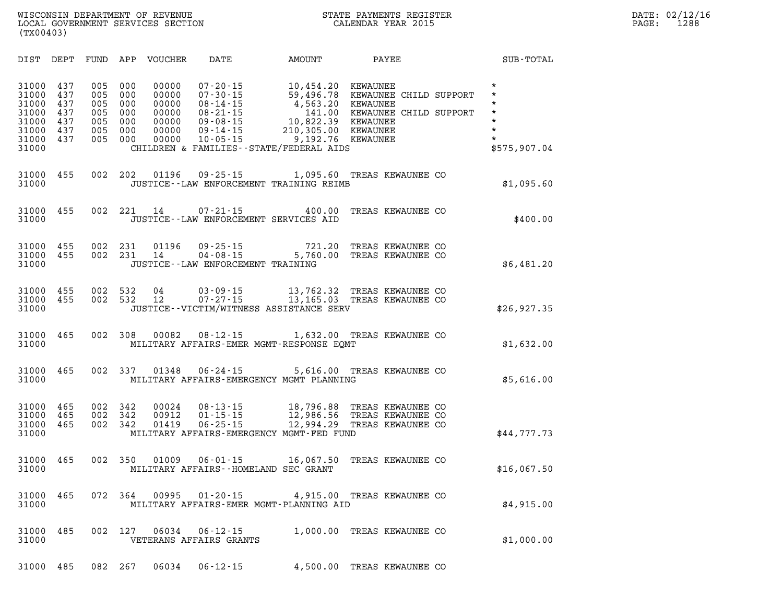| DIST<br>DEPT                                                                                                          | FUND                                          | APP<br>VOUCHER                                                                                               | DATE                                                                                                                       | AMOUNT                                                                                                                            | PAYEE                                                                                                               | SUB-TOTAL                                                                                 |
|-----------------------------------------------------------------------------------------------------------------------|-----------------------------------------------|--------------------------------------------------------------------------------------------------------------|----------------------------------------------------------------------------------------------------------------------------|-----------------------------------------------------------------------------------------------------------------------------------|---------------------------------------------------------------------------------------------------------------------|-------------------------------------------------------------------------------------------|
| 31000<br>437<br>31000<br>437<br>31000<br>437<br>31000<br>437<br>31000<br>437<br>31000<br>437<br>31000<br>437<br>31000 | 005<br>005<br>005<br>005<br>005<br>005<br>005 | 00000<br>000<br>00000<br>000<br>000<br>00000<br>00000<br>000<br>000<br>00000<br>00000<br>000<br>000<br>00000 | $07 - 20 - 15$<br>$07 - 30 - 15$<br>$08 - 14 - 15$<br>$08 - 21 - 15$<br>$09 - 08 - 15$<br>$09 - 14 - 15$<br>$10 - 05 - 15$ | 10,454.20<br>59,496.78<br>4,563.20<br>141.00<br>10,822.39<br>210,305.00<br>9,192.76<br>CHILDREN & FAMILIES - - STATE/FEDERAL AIDS | KEWAUNEE<br>KEWAUNEE CHILD SUPPORT<br><b>KEWAUNEE</b><br>KEWAUNEE CHILD SUPPORT<br>KEWAUNEE<br>KEWAUNEE<br>KEWAUNEE | $\star$<br>$\star$<br>$\star$<br>$\star$<br>$\star$<br>$\star$<br>$\star$<br>\$575,907.04 |
| 455<br>31000<br>31000                                                                                                 | 002                                           | 202<br>01196                                                                                                 | $09 - 25 - 15$                                                                                                             | 1,095.60<br>JUSTICE -- LAW ENFORCEMENT TRAINING REIMB                                                                             | TREAS KEWAUNEE CO                                                                                                   | \$1,095.60                                                                                |
| 455<br>31000<br>31000                                                                                                 | 002                                           | 221<br>14                                                                                                    | $07 - 21 - 15$                                                                                                             | 400.00<br>JUSTICE -- LAW ENFORCEMENT SERVICES AID                                                                                 | TREAS KEWAUNEE CO                                                                                                   | \$400.00                                                                                  |
| 31000<br>455<br>31000<br>455<br>31000                                                                                 | 002<br>002                                    | 231<br>01196<br>231<br>14<br>JUSTICE - - LAW ENFORCEMENT TRAINING                                            | $09 - 25 - 15$                                                                                                             | 721.20<br>09-25-15 721.20<br>04-08-15 5,760.00                                                                                    | TREAS KEWAUNEE CO<br>TREAS KEWAUNEE CO                                                                              | \$6,481.20                                                                                |
| 455<br>31000<br>31000<br>455<br>31000                                                                                 | 002<br>002                                    | 532<br>04<br>532<br>12                                                                                       | $03 - 09 - 15$                                                                                                             | 13,762.32<br>07-27-15 13,165.03 TREAS KEWAUNEE CO<br>JUSTICE - - VICTIM/WITNESS ASSISTANCE SERV                                   | TREAS KEWAUNEE CO                                                                                                   | \$26,927.35                                                                               |
| 465<br>31000<br>31000                                                                                                 | 002                                           | 308<br>00082                                                                                                 |                                                                                                                            | 08-12-15 1,632.00 TREAS KEWAUNEE CO<br>MILITARY AFFAIRS-EMER MGMT-RESPONSE EOMT                                                   |                                                                                                                     | \$1,632.00                                                                                |
| 31000<br>465<br>31000                                                                                                 | 002                                           | 337                                                                                                          |                                                                                                                            | 01348  06-24-15  5,616.00  TREAS KEWAUNEE CO<br>MILITARY AFFAIRS-EMERGENCY MGMT PLANNING                                          |                                                                                                                     | \$5,616.00                                                                                |
| 31000<br>465<br>31000<br>465<br>31000<br>465<br>31000                                                                 | 002<br>002<br>002                             | 342<br>00024<br>342<br>00912<br>01419<br>342                                                                 | $08 - 13 - 15$<br>$01 - 15 - 15$<br>$06 - 25 - 15$                                                                         | 18,796.88<br>12,986.56<br>12,994.29<br>MILITARY AFFAIRS-EMERGENCY MGMT-FED FUND                                                   | TREAS KEWAUNEE CO<br>TREAS KEWAUNEE CO<br>TREAS KEWAUNEE CO                                                         | \$44,777.73                                                                               |
| 465<br>31000<br>31000                                                                                                 | 002                                           | 350<br>01009                                                                                                 | $06 - 01 - 15$                                                                                                             | 16,067.50<br>MILITARY AFFAIRS--HOMELAND SEC GRANT                                                                                 | TREAS KEWAUNEE CO                                                                                                   | \$16,067.50                                                                               |
| 31000<br>31000                                                                                                        |                                               |                                                                                                              |                                                                                                                            | 465 072 364 00995 01-20-15 4,915.00 TREAS KEWAUNEE CO<br>MILITARY AFFAIRS-EMER MGMT-PLANNING AID                                  |                                                                                                                     | \$4,915.00                                                                                |
| 31000<br>485<br>31000                                                                                                 | 002                                           | 127<br>06034<br>VETERANS AFFAIRS GRANTS                                                                      | $06 - 12 - 15$                                                                                                             |                                                                                                                                   | 1,000.00 TREAS KEWAUNEE CO                                                                                          | \$1,000.00                                                                                |
| 31000 485                                                                                                             |                                               | 082 267<br>06034                                                                                             | $06 - 12 - 15$                                                                                                             |                                                                                                                                   | 4,500.00 TREAS KEWAUNEE CO                                                                                          |                                                                                           |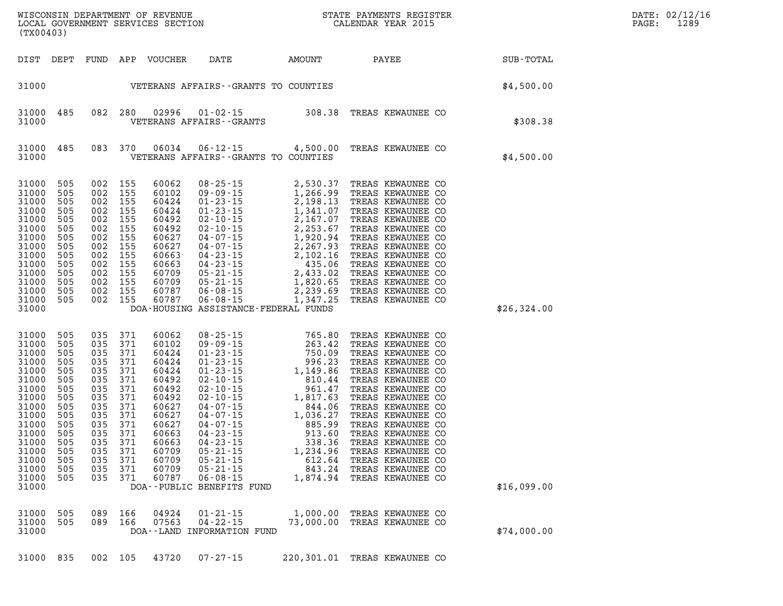| (TX00403)                                                                                                                                                          |                                                                                                              |                                                                                                                    |                                                                                                                              |                                                                                                                                                       |                                                                                                                                                                                                                                                                                                                                                                                                                                                       |                                                           |  |                                                                                                                                                                                                                                                                                                                                       |  |             | PAGE: | DATE: 02/12/16<br>1289 |
|--------------------------------------------------------------------------------------------------------------------------------------------------------------------|--------------------------------------------------------------------------------------------------------------|--------------------------------------------------------------------------------------------------------------------|------------------------------------------------------------------------------------------------------------------------------|-------------------------------------------------------------------------------------------------------------------------------------------------------|-------------------------------------------------------------------------------------------------------------------------------------------------------------------------------------------------------------------------------------------------------------------------------------------------------------------------------------------------------------------------------------------------------------------------------------------------------|-----------------------------------------------------------|--|---------------------------------------------------------------------------------------------------------------------------------------------------------------------------------------------------------------------------------------------------------------------------------------------------------------------------------------|--|-------------|-------|------------------------|
| DIST DEPT                                                                                                                                                          |                                                                                                              |                                                                                                                    |                                                                                                                              | FUND APP VOUCHER                                                                                                                                      | DATE AMOUNT PAYEE                                                                                                                                                                                                                                                                                                                                                                                                                                     |                                                           |  |                                                                                                                                                                                                                                                                                                                                       |  | SUB-TOTAL   |       |                        |
| 31000                                                                                                                                                              |                                                                                                              |                                                                                                                    |                                                                                                                              |                                                                                                                                                       | VETERANS AFFAIRS--GRANTS TO COUNTIES                                                                                                                                                                                                                                                                                                                                                                                                                  |                                                           |  |                                                                                                                                                                                                                                                                                                                                       |  | \$4,500.00  |       |                        |
| 31000 485<br>31000                                                                                                                                                 |                                                                                                              |                                                                                                                    |                                                                                                                              | 082 280 02996                                                                                                                                         | 01-02-15 308.38 TREAS KEWAUNEE CO<br>VETERANS AFFAIRS - - GRANTS                                                                                                                                                                                                                                                                                                                                                                                      |                                                           |  |                                                                                                                                                                                                                                                                                                                                       |  | \$308.38    |       |                        |
| 31000 485<br>31000                                                                                                                                                 |                                                                                                              |                                                                                                                    |                                                                                                                              | 083 370 06034                                                                                                                                         | 06-12-15 4,500.00 TREAS KEWAUNEE CO<br>VETERANS AFFAIRS -- GRANTS TO COUNTIES                                                                                                                                                                                                                                                                                                                                                                         |                                                           |  |                                                                                                                                                                                                                                                                                                                                       |  | \$4,500.00  |       |                        |
| 31000<br>31000<br>31000<br>31000<br>31000<br>31000<br>31000<br>31000<br>31000<br>31000<br>31000<br>31000<br>31000<br>31000<br>31000                                | 505<br>505<br>505<br>505<br>505<br>505<br>505<br>505<br>505<br>505<br>505<br>505<br>505<br>505               | 002 155<br>002<br>002 155<br>002<br>002<br>002<br>002<br>002<br>002<br>002<br>002 155<br>002<br>002 155<br>002 155 | 155<br>155<br>155<br>155<br>155<br>155<br>155<br>155<br>155                                                                  | 60062<br>60102<br>60424<br>60424<br>60492<br>60492<br>60627<br>60627<br>60663<br>60663<br>60709<br>60709<br>60787<br>60787                            | 08-25-15<br>09-09-15<br>01-23-15<br>01-23-15<br>01-23-15<br>02-10-15<br>02-10-15<br>02-10-15<br>2,167.07<br>02-10-15<br>2,167.07<br>04-07-15<br>2,253.67<br>04-07-15<br>2,253.67<br>04-07-15<br>2,267.93<br>04-23-15<br>04-23-15<br>04-23-15<br>05-21-15<br>2,433.02<br>05<br>DOA-HOUSING ASSISTANCE-FEDERAL FUNDS                                                                                                                                    |                                                           |  | TREAS KEWAUNEE CO<br>TREAS KEWAUNEE CO<br>TREAS KEWAUNEE CO<br>TREAS KEWAUNEE CO<br>TREAS KEWAUNEE CO<br>TREAS KEWAUNEE CO<br>TREAS KEWAUNEE CO<br>TREAS KEWAUNEE CO<br>TREAS KEWAUNEE CO<br>TREAS KEWAUNEE CO<br>TREAS KEWAUNEE CO<br>TREAS KEWAUNEE CO<br>TREAS KEWAUNEE CO<br>TREAS KEWAUNEE CO                                    |  | \$26,324.00 |       |                        |
| 31000<br>31000<br>31000<br>31000<br>31000<br>31000<br>31000<br>31000<br>31000<br>31000<br>31000<br>31000<br>31000<br>31000 505<br>31000<br>31000<br>31000<br>31000 | 505<br>505<br>505<br>505<br>505<br>505<br>505<br>505<br>505<br>505<br>505<br>505<br>505<br>505<br>505<br>505 | 035<br>035<br>035<br>035<br>035<br>035<br>035<br>035<br>035<br>035<br>035<br>035 371<br>035                        | 371<br>371<br>371<br>371<br>371<br>371<br>371<br>371<br>371<br>371<br>371<br>371<br>035 371<br>035 371<br>035 371<br>035 371 | 60062<br>60102<br>60424<br>60424<br>60424<br>60492<br>60492<br>60492<br>60627<br>60627<br>60627<br>60663<br>60663<br>60709<br>60709<br>60709<br>60787 | $\begin{array}{cccc} 08\texttt{-}25\texttt{-}15 & 765.80 \\ 09\texttt{-}09\texttt{-}15 & 263.42 \\ 01\texttt{-}23\texttt{-}15 & 750.09 \\ 01\texttt{-}23\texttt{-}15 & 996.23 \\ 01\texttt{-}23\texttt{-}15 & 1,149.86 \\ 02\texttt{-}10\texttt{-}15 & 810.44 \\ 02\texttt{-}10\texttt{-}15 & 1,817.63 \\ 04\texttt{-}07\texttt{-}15 & 1,036.27$<br>$05 - 21 - 15$<br>$05 - 21 - 15$<br>$05 - 21 - 15$<br>$06 - 08 - 15$<br>DOA--PUBLIC BENEFITS FUND | 1,234.96 TREAS KEWAUNEE CO<br>1,874.94 TREAS KEWAUNEE CO  |  | TREAS KEWAUNEE CO<br>TREAS KEWAUNEE CO<br>TREAS KEWAUNEE CO<br>TREAS KEWAUNEE CO<br>TREAS KEWAUNEE CO<br>TREAS KEWAUNEE CO<br>TREAS KEWAUNEE CO<br>TREAS KEWAUNEE CO<br>TREAS KEWAUNEE CO<br>TREAS KEWAUNEE CO<br>TREAS KEWAUNEE CO<br>TREAS KEWAUNEE CO<br>TREAS KEWAUNEE CO<br>612.64 TREAS KEWAUNEE CO<br>843.24 TREAS KEWAUNEE CO |  | \$16,099.00 |       |                        |
| 31000<br>31000<br>31000                                                                                                                                            | 505<br>505                                                                                                   |                                                                                                                    | 089 166<br>089 166                                                                                                           | 04924<br>07563                                                                                                                                        | $01 - 21 - 15$<br>$04 - 22 - 15$<br>DOA--LAND INFORMATION FUND                                                                                                                                                                                                                                                                                                                                                                                        | 1,000.00 TREAS KEWAUNEE CO<br>73,000.00 TREAS KEWAUNEE CO |  |                                                                                                                                                                                                                                                                                                                                       |  | \$74,000.00 |       |                        |
| 31000 835                                                                                                                                                          |                                                                                                              |                                                                                                                    |                                                                                                                              | 002 105 43720                                                                                                                                         | 07-27-15                                                                                                                                                                                                                                                                                                                                                                                                                                              | 220,301.01 TREAS KEWAUNEE CO                              |  |                                                                                                                                                                                                                                                                                                                                       |  |             |       |                        |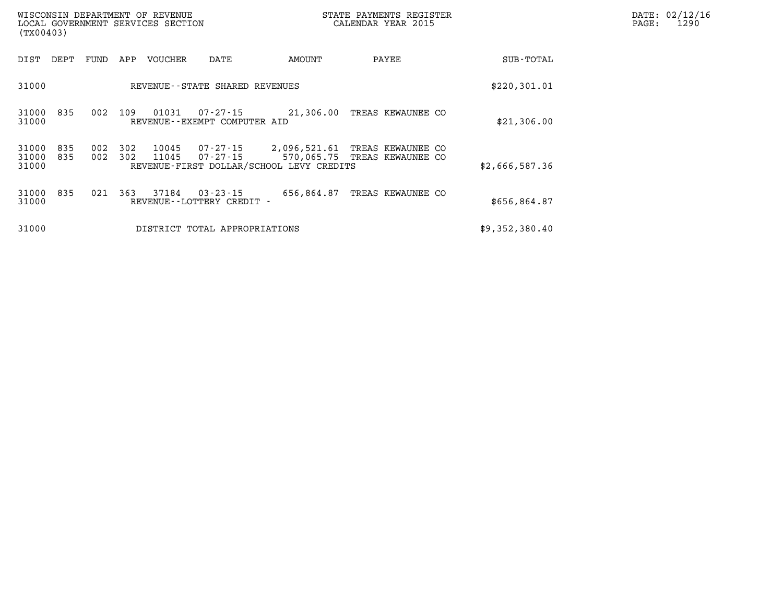| (TX00403)               |            |            |            | WISCONSIN DEPARTMENT OF REVENUE<br>LOCAL GOVERNMENT SERVICES SECTION |                                             | STATE PAYMENTS REGISTER<br>CALENDAR YEAR 2015                           | DATE: 02/12/16<br>PAGE:<br>1290                   |                |  |
|-------------------------|------------|------------|------------|----------------------------------------------------------------------|---------------------------------------------|-------------------------------------------------------------------------|---------------------------------------------------|----------------|--|
| DIST                    | DEPT       | FUND       | APP        | VOUCHER                                                              | DATE                                        | AMOUNT                                                                  | PAYEE                                             | SUB-TOTAL      |  |
| 31000                   |            |            |            |                                                                      | REVENUE--STATE SHARED REVENUES              |                                                                         |                                                   | \$220,301.01   |  |
| 31000<br>31000          | 835        | 002        | 109        | 01031                                                                | 07-27-15<br>REVENUE--EXEMPT COMPUTER AID    | 21,306.00                                                               | TREAS KEWAUNEE CO                                 | \$21,306.00    |  |
| 31000<br>31000<br>31000 | 835<br>835 | 002<br>002 | 302<br>302 | 10045<br>11045                                                       | 07-27-15                                    | $07 - 27 - 15$ 2,096,521.61<br>REVENUE-FIRST DOLLAR/SCHOOL LEVY CREDITS | TREAS KEWAUNEE CO<br>570,065.75 TREAS KEWAUNEE CO | \$2,666,587.36 |  |
| 31000<br>31000          | 835        | 021        | 363        | 37184                                                                | $03 - 23 - 15$<br>REVENUE--LOTTERY CREDIT - | 656,864.87                                                              | TREAS KEWAUNEE CO                                 | \$656,864.87   |  |
| 31000                   |            |            |            |                                                                      | DISTRICT TOTAL APPROPRIATIONS               |                                                                         |                                                   | \$9,352,380.40 |  |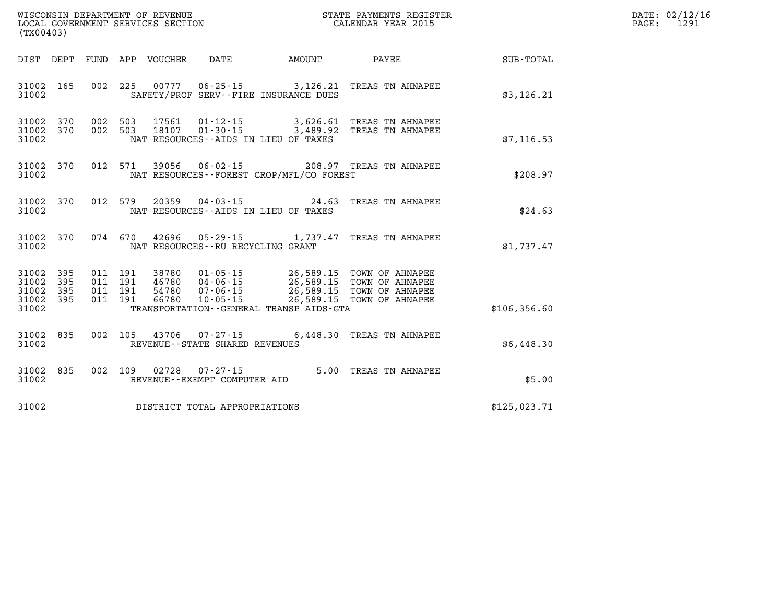| DATE: | 02/12/16 |
|-------|----------|
| PAGE: | 1291     |

| WISCONSIN DEPARTMENT OF REVENUE<br>(TX00403)                                                      | LOCAL GOVERNMENT SERVICES SECTION                                                                                                                                               | STATE PAYMENTS REGISTER<br>CALENDAR YEAR 2015                                                                                |               |
|---------------------------------------------------------------------------------------------------|---------------------------------------------------------------------------------------------------------------------------------------------------------------------------------|------------------------------------------------------------------------------------------------------------------------------|---------------|
| DEPT<br>FUND<br>DIST                                                                              | APP<br>VOUCHER<br>DATE                                                                                                                                                          | AMOUNT<br>PAYEE                                                                                                              | SUB-TOTAL     |
| 002<br>31002<br>165<br>31002                                                                      | 225<br>00777 06-25-15 3,126.21<br>SAFETY/PROF SERV--FIRE INSURANCE DUES                                                                                                         | TREAS TN AHNAPEE                                                                                                             | \$3,126.21    |
| 31002<br>370<br>002<br>002<br>370<br>31002<br>31002                                               | 503<br>17561<br>$01 - 12 - 15$<br>503<br>18107 01-30-15 3,489.92<br>NAT RESOURCES--AIDS IN LIEU OF TAXES                                                                        | 3,626.61<br>TREAS TN AHNAPEE<br>TREAS TN AHNAPEE                                                                             | \$7, 116.53   |
| 370<br>012<br>31002<br>31002                                                                      | 571<br>39056<br>$06 - 02 - 15$<br>NAT RESOURCES - - FOREST CROP/MFL/CO FOREST                                                                                                   | 208.97<br>TREAS TN AHNAPEE                                                                                                   | \$208.97      |
| 31002<br>370<br>012<br>31002                                                                      | 579<br>20359<br>$04 - 03 - 15$<br>NAT RESOURCES--AIDS IN LIEU OF TAXES                                                                                                          | 24.63<br>TREAS TN AHNAPEE                                                                                                    | \$24.63       |
| 31002<br>370<br>074<br>31002                                                                      | 670<br>42696<br>$05 - 29 - 15$<br>NAT RESOURCES - - RU RECYCLING GRANT                                                                                                          | 1,737.47<br>TREAS TN AHNAPEE                                                                                                 | \$1,737.47    |
| 31002<br>395<br>011<br>395<br>011<br>31002<br>31002<br>395<br>011<br>31002<br>395<br>011<br>31002 | 191<br>38780<br>$01 - 05 - 15$<br>191<br>46780<br>$04 - 06 - 15$<br>191<br>54780<br>$07 - 06 - 15$<br>191<br>66780<br>$10 - 05 - 15$<br>TRANSPORTATION--GENERAL TRANSP AIDS-GTA | 26,589.15<br>TOWN OF AHNAPEE<br>26,589.15<br>TOWN OF AHNAPEE<br>26,589.15<br>TOWN OF AHNAPEE<br>26,589.15<br>TOWN OF AHNAPEE | \$106, 356.60 |
| 002<br>31002<br>835<br>31002                                                                      | 105<br>43706<br>07-27-15<br>REVENUE - - STATE SHARED REVENUES                                                                                                                   | 6,448.30<br>TREAS TN AHNAPEE                                                                                                 | \$6,448.30    |
| 31002<br>835<br>002<br>31002                                                                      | 109<br>02728<br>$07 - 27 - 15$<br>REVENUE - - EXEMPT COMPUTER AID                                                                                                               | 5.00<br>TREAS TN AHNAPEE                                                                                                     | \$5.00        |
| 31002                                                                                             | DISTRICT TOTAL APPROPRIATIONS                                                                                                                                                   |                                                                                                                              | \$125,023.71  |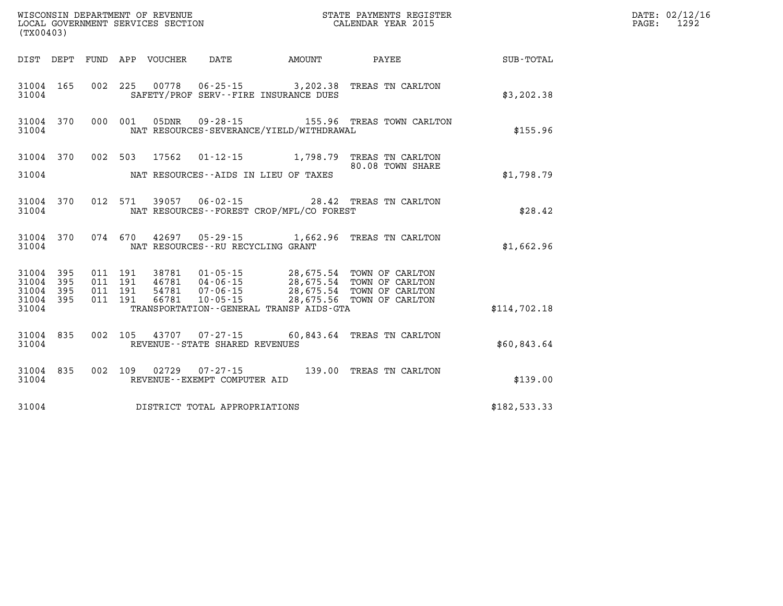| (TX00403)                                             |           |         |                               |                                 |                                |                                                                                                                                                                                                                                     |                                                                                |              | DATE: 02/12/16<br>1292<br>$\mathtt{PAGE}$ : |
|-------------------------------------------------------|-----------|---------|-------------------------------|---------------------------------|--------------------------------|-------------------------------------------------------------------------------------------------------------------------------------------------------------------------------------------------------------------------------------|--------------------------------------------------------------------------------|--------------|---------------------------------------------|
|                                                       |           |         |                               | DIST DEPT FUND APP VOUCHER DATE |                                | <b>AMOUNT</b>                                                                                                                                                                                                                       | <b>PAYEE</b> PAYEE                                                             | SUB-TOTAL    |                                             |
| 31004                                                 | 31004 165 |         |                               |                                 |                                | SAFETY/PROF SERV--FIRE INSURANCE DUES                                                                                                                                                                                               | 002 225 00778 06-25-15 3,202.38 TREAS TN CARLTON                               | \$3,202.38   |                                             |
| 31004                                                 |           |         |                               |                                 |                                | NAT RESOURCES-SEVERANCE/YIELD/WITHDRAWAL                                                                                                                                                                                            | 31004 370 000 001 05DNR 09-28-15 155.96 TREAS TOWN CARLTON                     | \$155.96     |                                             |
| 31004                                                 |           |         |                               |                                 |                                | NAT RESOURCES--AIDS IN LIEU OF TAXES                                                                                                                                                                                                | 31004 370 002 503 17562 01-12-15 1,798.79 TREAS TN CARLTON<br>80.08 TOWN SHARE | \$1,798.79   |                                             |
| 31004                                                 | 31004 370 |         |                               |                                 |                                | NAT RESOURCES - - FOREST CROP/MFL/CO FOREST                                                                                                                                                                                         | 012 571 39057 06-02-15 28.42 TREAS TN CARLTON                                  | \$28.42      |                                             |
| 31004                                                 |           |         |                               |                                 |                                | NAT RESOURCES--RU RECYCLING GRANT                                                                                                                                                                                                   | 31004 370 074 670 42697 05-29-15 1,662.96 TREAS TN CARLTON                     | \$1,662.96   |                                             |
| 31004 395<br>31004<br>31004 395<br>31004 395<br>31004 | 395       | 011 191 | 011 191<br>011 191<br>011 191 |                                 |                                | 38781  01-05-15  28,675.54  TOWN OF CARLTON<br>46781  04-06-15  28,675.54  TOWN OF CARLTON<br>54781  07-06-15  28,675.54  TOWN OF CARLTON<br>66781  10-05-15  28,675.56  TOWN OF CARLTON<br>TRANSPORTATION--GENERAL TRANSP AIDS-GTA |                                                                                | \$114,702.18 |                                             |
| 31004                                                 | 31004 835 |         |                               |                                 | REVENUE--STATE SHARED REVENUES |                                                                                                                                                                                                                                     | 002 105 43707 07-27-15 60,843.64 TREAS TN CARLTON                              | \$60,843.64  |                                             |
| 31004                                                 | 31004 835 |         |                               |                                 | REVENUE--EXEMPT COMPUTER AID   |                                                                                                                                                                                                                                     | 002 109 02729 07-27-15 139.00 TREAS TN CARLTON                                 | \$139.00     |                                             |
| 31004                                                 |           |         |                               |                                 | DISTRICT TOTAL APPROPRIATIONS  |                                                                                                                                                                                                                                     |                                                                                | \$182,533.33 |                                             |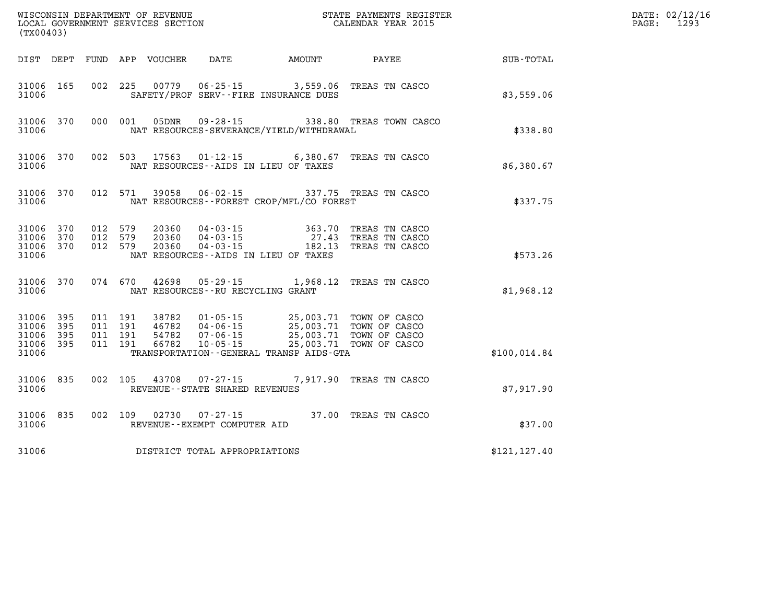|                                                   | (TX00403)  |                                          |         |                            |                                                  |                                                                                                                                                                                                                             |                                                                 | DATE: 02/12/16<br>$\mathtt{PAGE:}$<br>1293 |  |
|---------------------------------------------------|------------|------------------------------------------|---------|----------------------------|--------------------------------------------------|-----------------------------------------------------------------------------------------------------------------------------------------------------------------------------------------------------------------------------|-----------------------------------------------------------------|--------------------------------------------|--|
|                                                   |            |                                          |         | DIST DEPT FUND APP VOUCHER | DATE                                             | <b>AMOUNT</b>                                                                                                                                                                                                               | PAYEE                                                           | SUB-TOTAL                                  |  |
| 31006 165<br>31006                                |            |                                          |         |                            |                                                  | 002 225 00779 06-25-15 3,559.06<br>SAFETY/PROF SERV--FIRE INSURANCE DUES                                                                                                                                                    | TREAS TN CASCO                                                  | \$3,559.06                                 |  |
| 31006 370<br>31006                                |            | 000 001                                  |         |                            |                                                  | NAT RESOURCES-SEVERANCE/YIELD/WITHDRAWAL                                                                                                                                                                                    | 05DNR  09-28-15  338.80 TREAS TOWN CASCO                        | \$338.80                                   |  |
| 31006 370<br>31006                                |            |                                          |         |                            |                                                  | NAT RESOURCES--AIDS IN LIEU OF TAXES                                                                                                                                                                                        | 002 503 17563 01-12-15 6,380.67 TREAS TN CASCO                  | \$6,380.67                                 |  |
| 31006                                             | 31006 370  |                                          | 012 571 |                            |                                                  | NAT RESOURCES - - FOREST CROP/MFL/CO FOREST                                                                                                                                                                                 | 39058  06-02-15  337.75  TREAS  TN CASCO                        | \$337.75                                   |  |
| 31006 370<br>31006 370<br>31006 370<br>31006      |            | 012 579<br>012 579<br>012 579            |         | 20360<br>20360<br>20360    |                                                  | 04 - 03 - 15 363 . 70<br>04 - 03 - 15 27 . 43<br>04 - 03 - 15 182 . 13<br>NAT RESOURCES--AIDS IN LIEU OF TAXES                                                                                                              | 363.70 TREAS TN CASCO<br>27.43 TREAS TN CASCO<br>TREAS TN CASCO | \$573.26                                   |  |
| 31006                                             | 31006 370  |                                          | 074 670 |                            | NAT RESOURCES - - RU RECYCLING GRANT             |                                                                                                                                                                                                                             | 42698 05-29-15 1,968.12 TREAS TN CASCO                          | \$1,968.12                                 |  |
| 31006 395<br>31006<br>31006<br>31006 395<br>31006 | 395<br>395 | 011 191<br>011 191<br>011 191<br>011 191 |         |                            |                                                  | 38782  01-05-15  25,003.71  TOWN OF CASCO<br>46782  04-06-15  25,003.71  TOWN OF CASCO<br>54782  07-06-15  25,003.71  TOWN OF CASCO<br>66782  10-05-15  25,003.71  TOWN OF CASCO<br>TRANSPORTATION--GENERAL TRANSP AIDS-GTA |                                                                 | \$100,014.84                               |  |
| 31006 835<br>31006                                |            | 002 105                                  |         |                            | 43708 07-27-15<br>REVENUE--STATE SHARED REVENUES |                                                                                                                                                                                                                             | 7,917.90 TREAS TN CASCO                                         | \$7,917.90                                 |  |
| 31006                                             | 31006 835  | 002 109                                  |         |                            | 02730 07-27-15<br>REVENUE--EXEMPT COMPUTER AID   |                                                                                                                                                                                                                             | 37.00 TREAS TN CASCO                                            | \$37.00                                    |  |
| 31006                                             |            |                                          |         |                            | DISTRICT TOTAL APPROPRIATIONS                    |                                                                                                                                                                                                                             |                                                                 | \$121,127.40                               |  |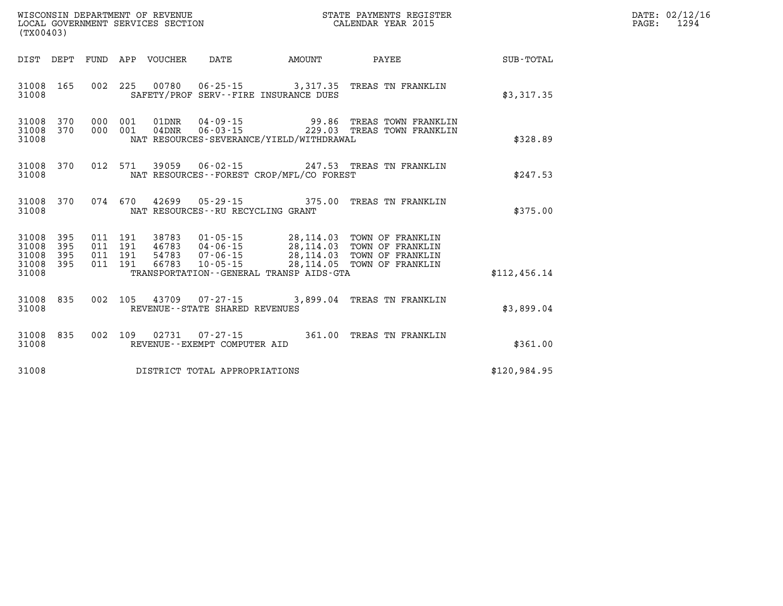| (TX00403)                                     |                   |         |                            | WISCONSIN DEPARTMENT OF REVENUE<br>LOCAL GOVERNMENT SERVICES SECTION<br>(TYO0402) |                                             | STATE PAYMENTS REGISTER<br>CALENDAR YEAR 2015                                                                                                                                                                                                                                                                                                              |              | DATE: 02/12/16<br>1294<br>$\mathtt{PAGE}$ : |
|-----------------------------------------------|-------------------|---------|----------------------------|-----------------------------------------------------------------------------------|---------------------------------------------|------------------------------------------------------------------------------------------------------------------------------------------------------------------------------------------------------------------------------------------------------------------------------------------------------------------------------------------------------------|--------------|---------------------------------------------|
|                                               |                   |         | DIST DEPT FUND APP VOUCHER | DATE                                                                              | <b>AMOUNT</b>                               | PAYEE                                                                                                                                                                                                                                                                                                                                                      | SUB-TOTAL    |                                             |
| 31008<br>31008                                | 165               |         |                            |                                                                                   | SAFETY/PROF SERV--FIRE INSURANCE DUES       | 002 225 00780 06-25-15 3,317.35 TREAS TN FRANKLIN                                                                                                                                                                                                                                                                                                          | \$3,317.35   |                                             |
| 31008<br>31008<br>31008                       | 370<br>370        | 000 001 |                            |                                                                                   | NAT RESOURCES-SEVERANCE/YIELD/WITHDRAWAL    | 01DNR  04-09-15  99.86 TREAS TOWN FRANKLIN<br>000 001 04DNR 06-03-15 229.03 TREAS TOWN FRANKLIN                                                                                                                                                                                                                                                            | \$328.89     |                                             |
| 31008 370<br>31008                            |                   |         |                            |                                                                                   | NAT RESOURCES - - FOREST CROP/MFL/CO FOREST | 012 571 39059 06-02-15 247.53 TREAS TN FRANKLIN                                                                                                                                                                                                                                                                                                            | \$247.53     |                                             |
| 31008 370<br>31008                            |                   |         |                            | NAT RESOURCES -- RU RECYCLING GRANT                                               |                                             | 074 670 42699 05-29-15 375.00 TREAS TN FRANKLIN                                                                                                                                                                                                                                                                                                            | \$375.00     |                                             |
| 31008<br>31008<br>31008<br>31008 395<br>31008 | 395<br>395<br>395 |         |                            |                                                                                   | TRANSPORTATION--GENERAL TRANSP AIDS-GTA     | $\begin{array}{cccc} 011 & 191 & 38783 & 01\texttt{-}05\texttt{-}15 & 28,114.03 & \texttt{TOWN OF FRANKLIN} \\ 011 & 191 & 46783 & 04\texttt{-}06\texttt{-}15 & 28,114.03 & \texttt{TOWN OF FRANKLIN} \\ 011 & 191 & 54783 & 07\texttt{-}06\texttt{-}15 & 28,114.03 & \texttt{TOWN OF FRANKLIN} \\ 011 & 191 & 66783 & 10\texttt{-}05\texttt{-}15 & 28,11$ | \$112,456.14 |                                             |
| 31008<br>31008                                | 835               |         |                            | REVENUE--STATE SHARED REVENUES                                                    |                                             | 002 105 43709 07-27-15 3,899.04 TREAS TN FRANKLIN                                                                                                                                                                                                                                                                                                          | \$3,899.04   |                                             |
| 31008<br>31008                                | 835               |         |                            | REVENUE--EXEMPT COMPUTER AID                                                      |                                             | 002 109 02731 07-27-15 361.00 TREAS TN FRANKLIN                                                                                                                                                                                                                                                                                                            | \$361.00     |                                             |
| 31008                                         |                   |         |                            | DISTRICT TOTAL APPROPRIATIONS                                                     |                                             |                                                                                                                                                                                                                                                                                                                                                            | \$120,984.95 |                                             |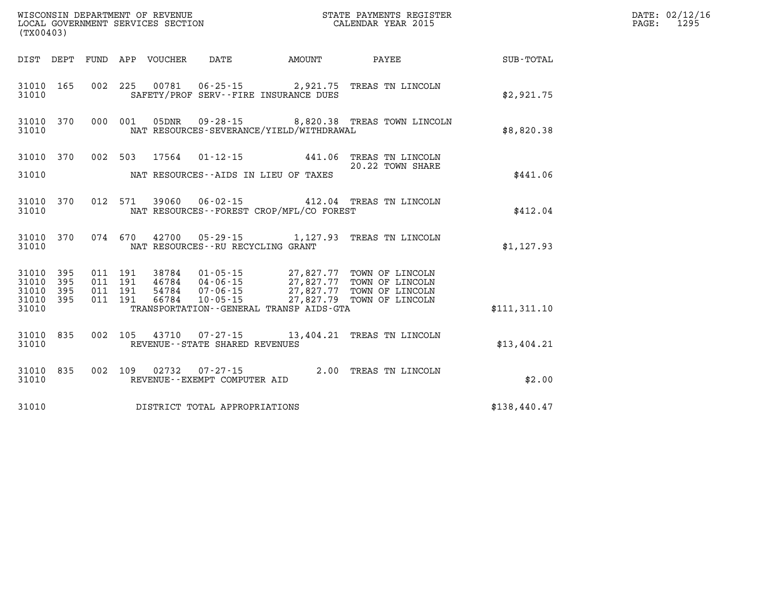| WISCONSIN DEPARTMENT OF REVENUE<br>LOCAL GOVERNMENT SERVICES SECTION CALENDAR YEAR 2015<br>(TX00403) |           |  |  |  |                                   |                                              |                                                                                                                                                                                                                                                                                                                                    |                                                    | DATE: 02/12/16<br>PAGE: 1295 |
|------------------------------------------------------------------------------------------------------|-----------|--|--|--|-----------------------------------|----------------------------------------------|------------------------------------------------------------------------------------------------------------------------------------------------------------------------------------------------------------------------------------------------------------------------------------------------------------------------------------|----------------------------------------------------|------------------------------|
|                                                                                                      |           |  |  |  |                                   |                                              |                                                                                                                                                                                                                                                                                                                                    | DIST DEPT FUND APP VOUCHER DATE AMOUNT PAYEE TOTAL |                              |
| 31010                                                                                                | 31010 165 |  |  |  |                                   | SAFETY/PROF SERV--FIRE INSURANCE DUES        | 002 225 00781 06-25-15 2,921.75 TREAS TN LINCOLN                                                                                                                                                                                                                                                                                   | \$2,921.75                                         |                              |
| 31010                                                                                                |           |  |  |  |                                   | NAT RESOURCES-SEVERANCE/YIELD/WITHDRAWAL     | 31010 370 000 001 05DNR 09-28-15 8,820.38 TREAS TOWN LINCOLN                                                                                                                                                                                                                                                                       | \$8,820.38                                         |                              |
|                                                                                                      |           |  |  |  |                                   |                                              | 31010 370 002 503 17564 01-12-15 441.06 TREAS TN LINCOLN 20.22 TOWN SHARE                                                                                                                                                                                                                                                          |                                                    |                              |
|                                                                                                      |           |  |  |  |                                   | 31010 MAT RESOURCES--AIDS IN LIEU OF TAXES   | 20.22 TOWN SHARE                                                                                                                                                                                                                                                                                                                   | \$441.06                                           |                              |
| 31010                                                                                                | 31010 370 |  |  |  |                                   | NAT RESOURCES--FOREST CROP/MFL/CO FOREST     | 012 571 39060 06-02-15 412.04 TREAS TN LINCOLN                                                                                                                                                                                                                                                                                     | \$412.04                                           |                              |
| 31010                                                                                                |           |  |  |  | NAT RESOURCES--RU RECYCLING GRANT |                                              | 31010 370 074 670 42700 05-29-15 1,127.93 TREAS TN LINCOLN                                                                                                                                                                                                                                                                         | \$1, 127.93                                        |                              |
| 31010 395<br>31010                                                                                   | 395       |  |  |  |                                   |                                              | $\begin{array}{cccc} 011 & 191 & 38784 & 01\cdot 05\cdot 15 & 27\, ,827\, .77 & \text{TOWN OF LINCOLN} \\ 011 & 191 & 46784 & 04\cdot 06\cdot 15 & 27\, ,827\, .77 & \text{TOWN OF LINCOLN} \\ 011 & 191 & 54784 & 07\cdot 06\cdot 15 & 27\, ,827\, .77 & \text{TOWN OF LINCOLN} \\ 011 & 191 & 66784 & 10\cdot 05\cdot 15 & 27\,$ |                                                    |                              |
| 31010 395                                                                                            |           |  |  |  |                                   |                                              |                                                                                                                                                                                                                                                                                                                                    |                                                    |                              |
| 31010 395<br>31010                                                                                   |           |  |  |  |                                   | TRANSPORTATION - - GENERAL TRANSP AIDS - GTA |                                                                                                                                                                                                                                                                                                                                    | \$111,311.10                                       |                              |
| 31010                                                                                                | 31010 835 |  |  |  | REVENUE--STATE SHARED REVENUES    |                                              | 002 105 43710 07-27-15 13,404.21 TREAS TN LINCOLN                                                                                                                                                                                                                                                                                  | \$13,404.21                                        |                              |
| 31010                                                                                                | 31010 835 |  |  |  | REVENUE--EXEMPT COMPUTER AID      |                                              | 002 109 02732 07-27-15 2.00 TREAS TN LINCOLN                                                                                                                                                                                                                                                                                       | \$2.00                                             |                              |
| 31010                                                                                                |           |  |  |  | DISTRICT TOTAL APPROPRIATIONS     |                                              |                                                                                                                                                                                                                                                                                                                                    | \$138,440.47                                       |                              |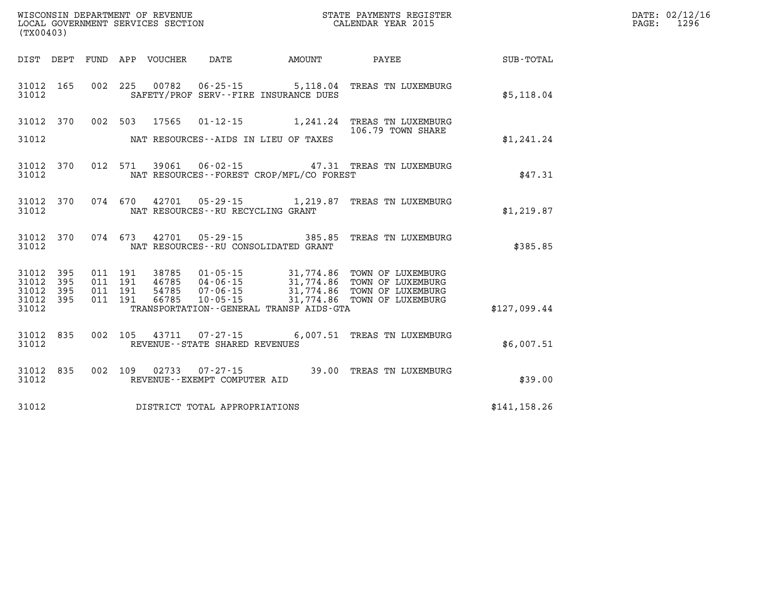|            | DATE: 02/12/16<br>PAGE: 1296 |
|------------|------------------------------|
| UB - TOTAL |                              |

| SUB-TOTAL     | PAYEE                                                                                      | AMOUNT                                                                         | DATE                                                           | VOUCHER                 | FUND APP                 | DEPT                                                 | DIST                                      |
|---------------|--------------------------------------------------------------------------------------------|--------------------------------------------------------------------------------|----------------------------------------------------------------|-------------------------|--------------------------|------------------------------------------------------|-------------------------------------------|
| \$5,118.04    | TREAS TN LUXEMBURG                                                                         | 00782  06-25-15  5,118.04                                                      | SAFETY/PROF SERV--FIRE INSURANCE DUES                          |                         | 002<br>225               | 165                                                  | 31012<br>31012                            |
| \$1,241.24    | TREAS TN LUXEMBURG<br>106.79 TOWN SHARE                                                    | 1,241.24                                                                       | $01 - 12 - 15$<br>NAT RESOURCES--AIDS IN LIEU OF TAXES         | 17565                   | 503                      | 370<br>002                                           | 31012<br>31012                            |
| \$47.31       | 39061  06-02-15  47.31  TREAS TN LUXEMBURG                                                 | NAT RESOURCES - - FOREST CROP/MFL/CO FOREST                                    |                                                                |                         | 012<br>571               | 370                                                  | 31012<br>31012                            |
| \$1,219.87    | 42701  05-29-15  1,219.87  TREAS TN LUXEMBURG                                              |                                                                                | NAT RESOURCES - - RU RECYCLING GRANT                           |                         | 074<br>670               | 370                                                  | 31012<br>31012                            |
| \$385.85      | TREAS TN LUXEMBURG                                                                         | $05 - 29 - 15$ 385.85                                                          | NAT RESOURCES - - RU CONSOLIDATED GRANT                        | 42701                   | 074<br>673               | 370                                                  | 31012<br>31012                            |
| \$127,099.44  | 31,774.86 TOWN OF LUXEMBURG<br>TOWN OF LUXEMBURG<br>TOWN OF LUXEMBURG<br>TOWN OF LUXEMBURG | 31,774.86<br>31,774.86<br>31,774.86<br>TRANSPORTATION--GENERAL TRANSP AIDS-GTA | 01-05-15<br>46785 04-06-15<br>$07 - 06 - 15$<br>$10 - 05 - 15$ | 38785<br>54785<br>66785 | 191<br>191<br>191<br>191 | 395<br>011<br>395<br>011<br>395<br>011<br>395<br>011 | 31012<br>31012<br>31012<br>31012<br>31012 |
| \$6,007.51    | 07-27-15 6,007.51 TREAS TN LUXEMBURG                                                       |                                                                                | REVENUE - - STATE SHARED REVENUES                              | 43711                   | 105                      | 835<br>002                                           | 31012<br>31012                            |
| \$39.00       | TREAS TN LUXEMBURG                                                                         | $07 - 27 - 15$ 39.00                                                           | REVENUE--EXEMPT COMPUTER AID                                   | 02733                   | 002<br>109               | 835                                                  | 31012<br>31012                            |
| \$141, 158.26 |                                                                                            |                                                                                | DISTRICT TOTAL APPROPRIATIONS                                  |                         |                          |                                                      | 31012                                     |

WISCONSIN DEPARTMENT OF REVENUE **STATE PAYMENTS REGISTER**<br>LOCAL GOVERNMENT SERVICES SECTION

LOCAL GOVERNMENT SERVICES SECTION

**(TX00403)**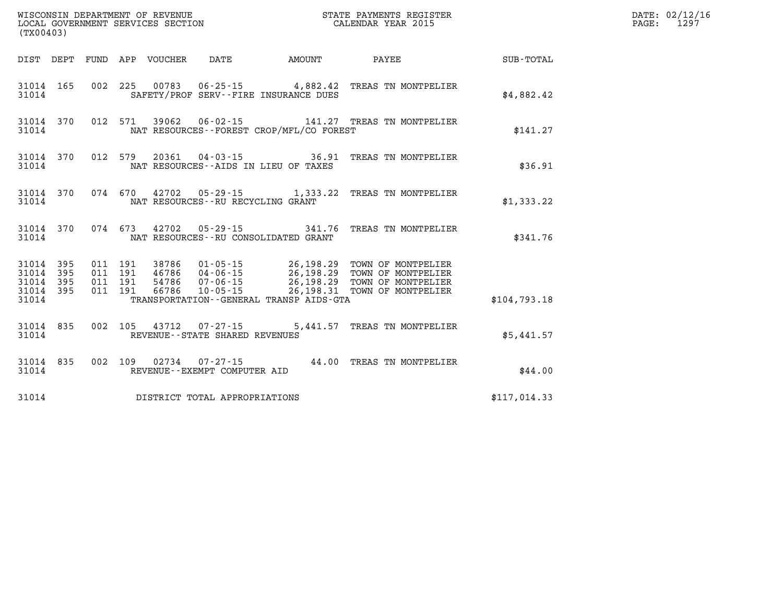| (TX00403)          |                  |  |                                                          |                                          | WISCONSIN DEPARTMENT OF REVENUE<br>LOCAL GOVERNMENT SERVICES SECTION<br>CALENDAR YEAR 2015                                                                                                                               |              | DATE: 02/12/16<br>PAGE: 1297 |
|--------------------|------------------|--|----------------------------------------------------------|------------------------------------------|--------------------------------------------------------------------------------------------------------------------------------------------------------------------------------------------------------------------------|--------------|------------------------------|
|                    |                  |  |                                                          |                                          | DIST DEPT FUND APP VOUCHER DATE AMOUNT PAYEE TOTAL                                                                                                                                                                       |              |                              |
| 31014              |                  |  |                                                          | SAFETY/PROF SERV--FIRE INSURANCE DUES    | 31014 165 002 225 00783 06-25-15 4,882.42 TREAS TN MONTPELIER                                                                                                                                                            | \$4,882.42   |                              |
| 31014              |                  |  |                                                          | NAT RESOURCES--FOREST CROP/MFL/CO FOREST | 31014 370 012 571 39062 06-02-15 141.27 TREAS TN MONTPELIER                                                                                                                                                              | \$141.27     |                              |
| 31014              |                  |  | NAT RESOURCES--AIDS IN LIEU OF TAXES                     |                                          | 31014 370 012 579 20361 04-03-15 36.91 TREAS TN MONTPELIER                                                                                                                                                               | \$36.91      |                              |
|                    | 31014            |  | NAT RESOURCES--RU RECYCLING GRANT                        |                                          | 31014 370 074 670 42702 05-29-15 1,333.22 TREAS TN MONTPELIER                                                                                                                                                            | \$1,333.22   |                              |
|                    | 31014            |  | NAT RESOURCES--RU CONSOLIDATED GRANT                     |                                          | 31014 370 074 673 42702 05-29-15 341.76 TREAS TN MONTPELIER                                                                                                                                                              | \$341.76     |                              |
| 31014 395<br>31014 | 31014 395<br>395 |  |                                                          |                                          | 011 191 38786 01-05-15 26,198.29 TOWN OF MONTPELIER<br>011 191 46786 04-06-15 26,198.29 TOWN OF MONTPELIER<br>011 191 66786 10-05-15 26,198.29 TOWN OF MONTPELIER<br>011 191 66786 10-05-15 26,198.31 TOWN OF MONTPELIER |              |                              |
| 31014 395<br>31014 |                  |  |                                                          | TRANSPORTATION--GENERAL TRANSP AIDS-GTA  |                                                                                                                                                                                                                          | \$104,793.18 |                              |
| 31014              | 31014 835        |  | 002 105 43712 07-27-15<br>REVENUE--STATE SHARED REVENUES |                                          | 5,441.57 TREAS TN MONTPELIER                                                                                                                                                                                             | \$5,441.57   |                              |
|                    |                  |  | 31014 REVENUE - EXEMPT COMPUTER AID                      |                                          | 31014 835 002 109 02734 07-27-15 44.00 TREAS TN MONTPELIER                                                                                                                                                               | \$44.00      |                              |
|                    |                  |  | 31014 DISTRICT TOTAL APPROPRIATIONS                      |                                          |                                                                                                                                                                                                                          | \$117,014.33 |                              |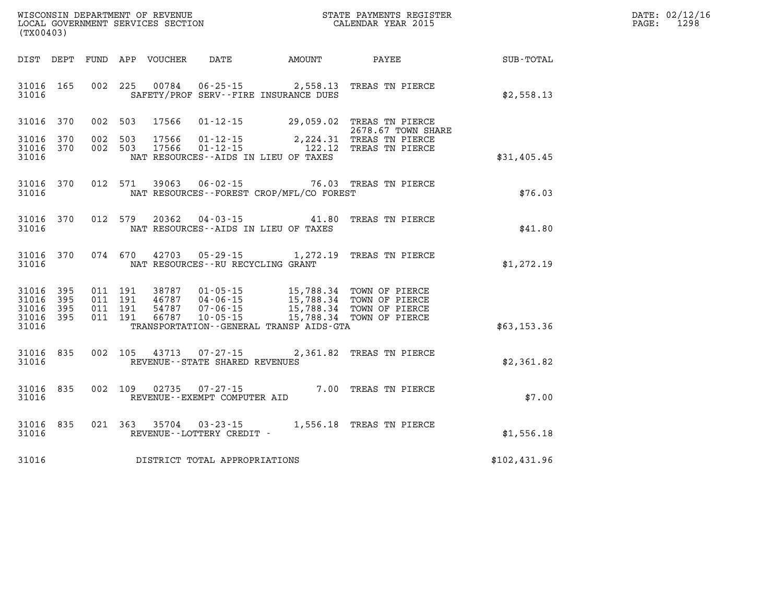| WISCONSIN DEPARTMENT OF REVENUE      | PAYMENTS REGISTER<br>3TATE | DATE: | 02/12/16 |
|--------------------------------------|----------------------------|-------|----------|
| GOVERNMENT SERVICES SECTION<br>LOCAL | CALENDAR YEAR 2015         | PAGE  | 1298     |

| (TX00403)                                     |                     |                               |         | LOCAL GOVERNMENT SERVICES SECTION |                                                     |                                              | CALENDAR YEAR 2015                                                               |              | PAGE: | 1298 |
|-----------------------------------------------|---------------------|-------------------------------|---------|-----------------------------------|-----------------------------------------------------|----------------------------------------------|----------------------------------------------------------------------------------|--------------|-------|------|
| DIST DEPT                                     |                     |                               |         | FUND APP VOUCHER                  | <b>DATE</b>                                         |                                              |                                                                                  |              |       |      |
| 31016 165<br>31016                            |                     |                               | 002 225 | 00784                             |                                                     | SAFETY/PROF SERV--FIRE INSURANCE DUES        | 06-25-15 2,558.13 TREAS TN PIERCE                                                | \$2,558.13   |       |      |
| 31016                                         | 370                 | 002 503                       |         | 17566                             |                                                     |                                              | 01-12-15 29,059.02 TREAS TN PIERCE<br>2678.67 TOWN SHARE                         |              |       |      |
| 31016<br>31016<br>31016                       | 370<br>370          | 002<br>002 503                | 503     | 17566<br>17566                    | $01 - 12 - 15$<br>$01 - 12 - 15$                    | NAT RESOURCES -- AIDS IN LIEU OF TAXES       | 2,224.31 TREAS TN PIERCE<br>122.12 TREAS TN PIERCE                               | \$31,405.45  |       |      |
| 31016 370<br>31016                            |                     |                               | 012 571 | 39063                             | $06 - 02 - 15$                                      | NAT RESOURCES--FOREST CROP/MFL/CO FOREST     | 76.03 TREAS TN PIERCE                                                            | \$76.03      |       |      |
| 31016 370<br>31016                            |                     | 012 579                       |         | 20362                             | $04 - 03 - 15$                                      | NAT RESOURCES -- AIDS IN LIEU OF TAXES       | 41.80 TREAS TN PIERCE                                                            | \$41.80      |       |      |
| 31016 370<br>31016                            |                     |                               | 074 670 | 42703                             | NAT RESOURCES - - RU RECYCLING GRANT                | $05 - 29 - 15$ 1, 272.19                     | TREAS TN PIERCE                                                                  | \$1,272.19   |       |      |
| 31016 395<br>31016<br>31016<br>31016<br>31016 | 395<br>395<br>- 395 | 011 191<br>011 191<br>011 191 | 011 191 | 38787<br>46787<br>54787<br>66787  | $01 - 05 - 15$<br>$07 - 06 - 15$<br>$10 - 05 - 15$  | TRANSPORTATION - - GENERAL TRANSP AIDS - GTA | 15,788.34 TOWN OF PIERCE<br>15,788.34 TOWN OF PIERCE<br>15,788.34 TOWN OF PIERCE | \$63,153.36  |       |      |
| 31016 835<br>31016                            |                     |                               | 002 105 | 43713                             | $07 - 27 - 15$<br>REVENUE - - STATE SHARED REVENUES |                                              | 2,361.82 TREAS TN PIERCE                                                         | \$2,361.82   |       |      |
| 31016 835<br>31016                            |                     |                               | 002 109 | 02735                             | $07 - 27 - 15$<br>REVENUE--EXEMPT COMPUTER AID      |                                              | 7.00 TREAS TN PIERCE                                                             | \$7.00       |       |      |
| 31016 835<br>31016                            |                     |                               | 021 363 | 35704                             | $03 - 23 - 15$<br>REVENUE--LOTTERY CREDIT -         |                                              | 1,556.18 TREAS TN PIERCE                                                         | \$1,556.18   |       |      |
| 31016                                         |                     |                               |         |                                   | DISTRICT TOTAL APPROPRIATIONS                       |                                              |                                                                                  | \$102,431.96 |       |      |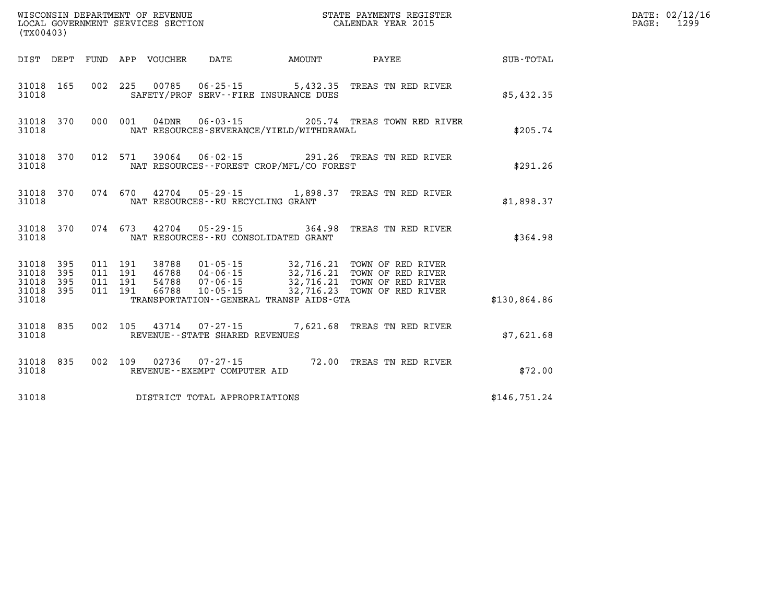| (TX00403) |  |  |                                     |                                              | WISCONSIN DEPARTMENT OF REVENUE<br>LOCAL GOVERNMENT SERVICES SECTION THE STATE PAYMENTS REGISTER<br>(TWOO403)                                                                                                                           |              | DATE: 02/12/16<br>PAGE: 1299 |
|-----------|--|--|-------------------------------------|----------------------------------------------|-----------------------------------------------------------------------------------------------------------------------------------------------------------------------------------------------------------------------------------------|--------------|------------------------------|
|           |  |  |                                     |                                              | DIST DEPT FUND APP VOUCHER DATE AMOUNT PAYEE PAYER SUB-TOTAL                                                                                                                                                                            |              |                              |
| 31018     |  |  |                                     | SAFETY/PROF SERV--FIRE INSURANCE DUES        | 31018 165 002 225 00785 06-25-15 5,432.35 TREAS TN RED RIVER                                                                                                                                                                            | \$5,432.35   |                              |
| 31018     |  |  |                                     | NAT RESOURCES-SEVERANCE/YIELD/WITHDRAWAL     | 31018 370 000 001 04DNR 06-03-15 205.74 TREAS TOWN RED RIVER                                                                                                                                                                            | \$205.74     |                              |
| 31018     |  |  |                                     | NAT RESOURCES--FOREST CROP/MFL/CO FOREST     | 31018 370 012 571 39064 06-02-15 291.26 TREAS TN RED RIVER                                                                                                                                                                              | \$291.26     |                              |
|           |  |  |                                     | 31018 MAT RESOURCES--RU RECYCLING GRANT      | 31018 370 074 670 42704 05-29-15 1,898.37 TREAS TN RED RIVER                                                                                                                                                                            | \$1,898.37   |                              |
|           |  |  |                                     | 31018 MAT RESOURCES--RU CONSOLIDATED GRANT   | 31018 370 074 673 42704 05-29-15 364.98 TREAS TN RED RIVER                                                                                                                                                                              | \$364.98     |                              |
|           |  |  |                                     |                                              | 31018 395 011 191 38788 01-05-15 32,716.21 TOWN OF RED RIVER<br>31018 395 011 191 46788 04-06-15 32,716.21 TOWN OF RED RIVER<br>31018 395 011 191 54788 07-06-15 32,716.21 TOWN OF RED RIVER<br>31018 395 011 191 66788 10-05-15 32,716 |              |                              |
| 31018     |  |  |                                     | TRANSPORTATION - - GENERAL TRANSP AIDS - GTA |                                                                                                                                                                                                                                         | \$130,864.86 |                              |
| 31018     |  |  | REVENUE--STATE SHARED REVENUES      |                                              | 31018 835 002 105 43714 07-27-15 7,621.68 TREAS TN RED RIVER                                                                                                                                                                            | \$7,621.68   |                              |
|           |  |  | 31018 REVENUE - EXEMPT COMPUTER AID |                                              | 31018 835 002 109 02736 07-27-15 72.00 TREAS TN RED RIVER                                                                                                                                                                               | \$72.00      |                              |
| 31018     |  |  | DISTRICT TOTAL APPROPRIATIONS       |                                              |                                                                                                                                                                                                                                         | \$146,751.24 |                              |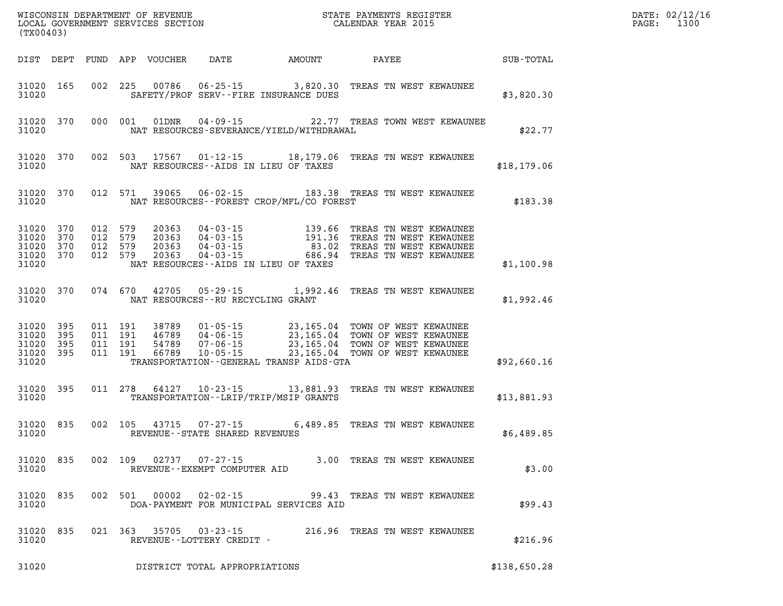| (TX00403)          |     |         |       |                                                                    |                                              | WISCONSIN DEPARTMENT OF REVENUE<br>LOCAL GOVERNMENT SERVICES SECTION<br>LOCAL GOVERNMENT SERVICES SECTION<br>CALENDAR YEAR 2015                                                                                                                                                                                     |              | DATE: 02/12/16<br>PAGE: 1300 |
|--------------------|-----|---------|-------|--------------------------------------------------------------------|----------------------------------------------|---------------------------------------------------------------------------------------------------------------------------------------------------------------------------------------------------------------------------------------------------------------------------------------------------------------------|--------------|------------------------------|
|                    |     |         |       |                                                                    |                                              | DIST DEPT FUND APP VOUCHER DATE AMOUNT PAYEE                                                                                                                                                                                                                                                                        | SUB-TOTAL    |                              |
| 31020              |     |         |       |                                                                    | SAFETY/PROF SERV--FIRE INSURANCE DUES        | 31020 165 002 225 00786 06-25-15 3,820.30 TREAS TN WEST KEWAUNEE                                                                                                                                                                                                                                                    | \$3,820.30   |                              |
| 31020              |     |         |       |                                                                    | NAT RESOURCES-SEVERANCE/YIELD/WITHDRAWAL     | 31020 370 000 001 01DNR 04-09-15 22.77 TREAS TOWN WEST KEWAUNEE                                                                                                                                                                                                                                                     | \$22.77      |                              |
| 31020              |     |         |       |                                                                    | NAT RESOURCES--AIDS IN LIEU OF TAXES         | 31020 370 002 503 17567 01-12-15 18,179.06 TREAS TN WEST KEWAUNEE                                                                                                                                                                                                                                                   | \$18,179.06  |                              |
| 31020              |     |         |       |                                                                    | NAT RESOURCES - - FOREST CROP/MFL/CO FOREST  | 31020 370 012 571 39065 06-02-15 183.38 TREAS TN WEST KEWAUNEE                                                                                                                                                                                                                                                      | \$183.38     |                              |
| 31020              |     |         |       |                                                                    | NAT RESOURCES -- AIDS IN LIEU OF TAXES       | $\begin{tabular}{cccccc}31020& 370& 012& 579& 20363& 04-03-15& 139.66 & \texttt{TREAS TN WEST KEWAWNEE}\\31020& 370& 012& 579& 20363& 04-03-15& 191.36 & \texttt{TREAS TN WEST KEWAWNEE}\\31020& 370& 012& 579& 20363& 04-03-15& 83.02 & \texttt{TREAS TN WEST KEWAWNEE}\\31020& 370& 012& 579& 20363& 04$          | \$1,100.98   |                              |
| 31020              |     |         |       | NAT RESOURCES--RU RECYCLING GRANT                                  |                                              | 31020 370 074 670 42705 05-29-15 1,992.46 TREAS TN WEST KEWAUNEE                                                                                                                                                                                                                                                    | \$1,992.46   |                              |
| 31020              |     |         |       |                                                                    | TRANSPORTATION - - GENERAL TRANSP AIDS - GTA | $\begin{tabular}{cccccc} 31020 & 395 & 011 & 191 & 38789 & 01-05-15 & 23,165.04 & TOWN OF WEST KEWAUNEE \\ 31020 & 395 & 011 & 191 & 46789 & 04-06-15 & 23,165.04 & TOWN OF WEST KEWAUNEE \\ 31020 & 395 & 011 & 191 & 54789 & 07-06-15 & 23,165.04 & TOWN OF WEST KEWAUNEE \\ 31020 & 395 & 011 & 191 & 66789 & 1$ | \$92,660.16  |                              |
| 31020              |     |         |       |                                                                    | TRANSPORTATION - - LRIP/TRIP/MSIP GRANTS     | 31020 395 011 278 64127 10-23-15 13,881.93 TREAS TN WEST KEWAUNEE                                                                                                                                                                                                                                                   | \$13,881.93  |                              |
| 31020              |     |         |       | 31020 835 002 105 43715 07-27-15<br>REVENUE--STATE SHARED REVENUES |                                              | 6,489.85 TREAS TN WEST KEWAUNEE                                                                                                                                                                                                                                                                                     | \$6,489.85   |                              |
| 31020 835<br>31020 |     | 002 109 | 02737 | $07 - 27 - 15$<br>REVENUE--EXEMPT COMPUTER AID                     |                                              | 3.00 TREAS TN WEST KEWAUNEE                                                                                                                                                                                                                                                                                         | \$3.00       |                              |
| 31020<br>31020     | 835 | 002 501 | 00002 |                                                                    | DOA-PAYMENT FOR MUNICIPAL SERVICES AID       | 02-02-15 99.43 TREAS TN WEST KEWAUNEE                                                                                                                                                                                                                                                                               | \$99.43      |                              |
| 31020<br>31020     | 835 | 021 363 | 35705 | 03 - 23 - 15<br>REVENUE--LOTTERY CREDIT -                          |                                              | 216.96 TREAS TN WEST KEWAUNEE                                                                                                                                                                                                                                                                                       | \$216.96     |                              |
| 31020              |     |         |       | DISTRICT TOTAL APPROPRIATIONS                                      |                                              |                                                                                                                                                                                                                                                                                                                     | \$138,650.28 |                              |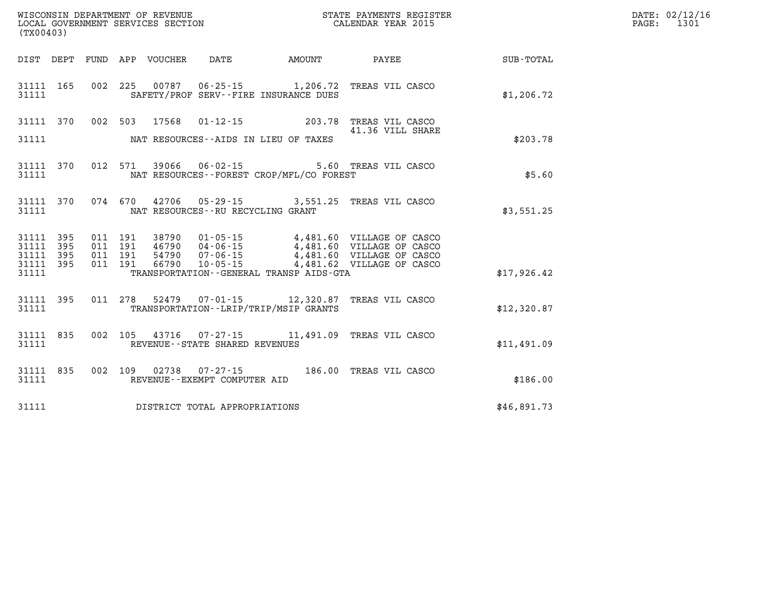| WISCONSIN DEPARTMENT OF REVENUE      | PAYMENTS REGISTER<br>3TATE | DATE: | 02/12/16 |
|--------------------------------------|----------------------------|-------|----------|
| GOVERNMENT SERVICES SECTION<br>LOCAL | CALENDAR YEAR 2015         | PAGE  | 1301     |

|                                     | LOCAL GOVERNMENT SERVICES SECTION<br>(TX00403) |  |  |                         |                                     |                                                                                                                                                                                                                                                                  | CALENDAR YEAR 2015                                 | PAGE: | 1301 |
|-------------------------------------|------------------------------------------------|--|--|-------------------------|-------------------------------------|------------------------------------------------------------------------------------------------------------------------------------------------------------------------------------------------------------------------------------------------------------------|----------------------------------------------------|-------|------|
|                                     |                                                |  |  |                         |                                     |                                                                                                                                                                                                                                                                  | DIST DEPT FUND APP VOUCHER DATE AMOUNT PAYEE TOTAL |       |      |
|                                     |                                                |  |  |                         |                                     | 31111 165 002 225 00787 06-25-15 1,206.72 TREAS VIL CASCO<br>31111 SAFETY/PROF SERV--FIRE INSURANCE DUES                                                                                                                                                         | \$1,206.72                                         |       |      |
|                                     |                                                |  |  |                         |                                     | 31111 370 002 503 17568 01-12-15 203.78 TREAS VIL CASCO<br>31111 MAT RESOURCES--AIDS IN LIEU OF TAXES                                                                                                                                                            | \$203.78                                           |       |      |
|                                     |                                                |  |  |                         |                                     | 31111 370 012 571 39066 06-02-15 5.60 TREAS VIL CASCO<br>31111 NAT RESOURCES - FOREST CROP/MFL/CO FOREST                                                                                                                                                         | \$5.60                                             |       |      |
|                                     |                                                |  |  |                         |                                     | 31111 370 074 670 42706 05-29-15 3,551.25 TREAS VIL CASCO<br>31111 NAT RESOURCES--RU RECYCLING GRANT                                                                                                                                                             | \$3,551.25                                         |       |      |
| 31111 395<br>31111 395<br>31111 395 |                                                |  |  | 31111 395 011 191 66790 |                                     | 011 191 38790 01-05-15 4,481.60 VILLAGE OF CASCO<br>011 191 46790 04-06-15 4,481.60 VILLAGE OF CASCO<br>011 191 54790 07-06-15 4,481.60 VILLAGE OF CASCO<br>011 191 66790 10-05-15 4,481.62 VILLAGE OF CASCO<br>31111 TRANSPORTATION - GENERAL TRANSP AIDS - GTA | \$17,926.42                                        |       |      |
|                                     |                                                |  |  |                         |                                     | 31111 395 011 278 52479 07-01-15 12,320.87 TREAS VIL CASCO<br>31111 TRANSPORTATION - LRIP/TRIP/MSIP GRANTS                                                                                                                                                       | \$12,320.87                                        |       |      |
| 31111                               | 31111 835                                      |  |  |                         | REVENUE--STATE SHARED REVENUES      | 002 105 43716 07-27-15 11,491.09 TREAS VIL CASCO                                                                                                                                                                                                                 | \$11,491.09                                        |       |      |
|                                     |                                                |  |  |                         | 31111 REVENUE - EXEMPT COMPUTER AID | 31111 835 002 109 02738 07-27-15 186.00 TREAS VIL CASCO                                                                                                                                                                                                          | \$186.00                                           |       |      |
|                                     |                                                |  |  |                         | 31111 DISTRICT TOTAL APPROPRIATIONS |                                                                                                                                                                                                                                                                  | \$46,891.73                                        |       |      |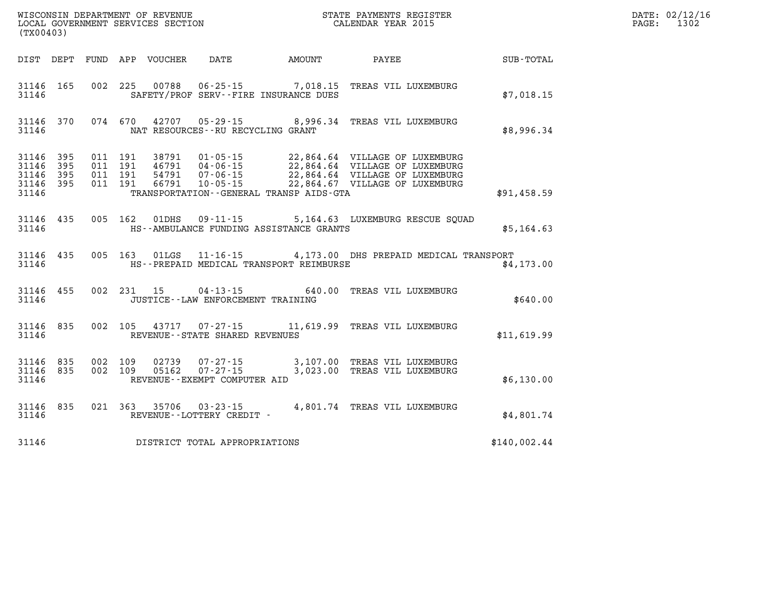| (TX00403)                                                 |           |         |         |                |                                                                  |                                         | WISCONSIN DEPARTMENT OF REVENUE<br>LOCAL GOVERNMENT SERVICES SECTION<br>(TYO0402)                                                                                                                                                                                                                                                             |              | DATE: 02/12/16<br>$\mathtt{PAGE:}$<br>1302 |
|-----------------------------------------------------------|-----------|---------|---------|----------------|------------------------------------------------------------------|-----------------------------------------|-----------------------------------------------------------------------------------------------------------------------------------------------------------------------------------------------------------------------------------------------------------------------------------------------------------------------------------------------|--------------|--------------------------------------------|
| DIST DEPT                                                 |           |         |         |                |                                                                  |                                         | FUND APP VOUCHER DATE AMOUNT PAYEE                                                                                                                                                                                                                                                                                                            | SUB-TOTAL    |                                            |
| 31146                                                     | 31146 165 |         |         |                | SAFETY/PROF SERV--FIRE INSURANCE DUES                            |                                         | 002 225 00788 06-25-15 7,018.15 TREAS VIL LUXEMBURG                                                                                                                                                                                                                                                                                           | \$7,018.15   |                                            |
| 31146                                                     | 31146 370 |         |         |                | NAT RESOURCES -- RU RECYCLING GRANT                              |                                         | 074 670 42707 05-29-15 8,996.34 TREAS VIL LUXEMBURG                                                                                                                                                                                                                                                                                           | \$8,996.34   |                                            |
| 31146 395<br>31146 395<br>31146 395<br>31146 395<br>31146 |           |         |         |                |                                                                  | TRANSPORTATION--GENERAL TRANSP AIDS-GTA | $\begin{array}{cccc} 011 & 191 & 38791 & 01\cdot 05\cdot 15 & 22,864.64 & \text{VILLAGE OF LUXEMBURG} \\ 011 & 191 & 46791 & 04\cdot 06\cdot 15 & 22,864.64 & \text{VILLAGE OF LUXEMBURG} \\ 011 & 191 & 54791 & 07\cdot 06\cdot 15 & 22,864.64 & \text{VILLAGE OF LUXEMBURG} \\ 011 & 191 & 66791 & 10\cdot 05\cdot 15 & 22,864.67 & \text{$ | \$91,458.59  |                                            |
| 31146                                                     | 31146 435 |         |         | 005 162 01DHS  | $09 - 11 - 15$                                                   | HS--AMBULANCE FUNDING ASSISTANCE GRANTS | 5,164.63 LUXEMBURG RESCUE SOUAD                                                                                                                                                                                                                                                                                                               | \$5,164.63   |                                            |
| 31146                                                     | 31146 435 |         |         | 005 163 01LGS  |                                                                  | HS--PREPAID MEDICAL TRANSPORT REIMBURSE | 11-16-15 4,173.00 DHS PREPAID MEDICAL TRANSPORT                                                                                                                                                                                                                                                                                               | \$4,173.00   |                                            |
| 31146 455<br>31146                                        |           |         |         | 002 231 15     | $04 - 13 - 15$<br>JUSTICE -- LAW ENFORCEMENT TRAINING            |                                         | 640.00 TREAS VIL LUXEMBURG                                                                                                                                                                                                                                                                                                                    | \$640.00     |                                            |
| 31146 835<br>31146                                        |           |         |         | 002 105 43717  | REVENUE--STATE SHARED REVENUES                                   |                                         | 07-27-15 11,619.99 TREAS VIL LUXEMBURG                                                                                                                                                                                                                                                                                                        | \$11,619.99  |                                            |
| 31146 835<br>31146 835<br>31146                           |           | 002 109 | 002 109 | 02739<br>05162 | $07 - 27 - 15$<br>$07 - 27 - 15$<br>REVENUE--EXEMPT COMPUTER AID |                                         | 3,107.00 TREAS VIL LUXEMBURG<br>3,023.00 TREAS VIL LUXEMBURG                                                                                                                                                                                                                                                                                  | \$6,130.00   |                                            |
| 31146                                                     | 31146 835 |         |         |                |                                                                  |                                         |                                                                                                                                                                                                                                                                                                                                               | \$4,801.74   |                                            |
| 31146                                                     |           |         |         |                | DISTRICT TOTAL APPROPRIATIONS                                    |                                         |                                                                                                                                                                                                                                                                                                                                               | \$140,002.44 |                                            |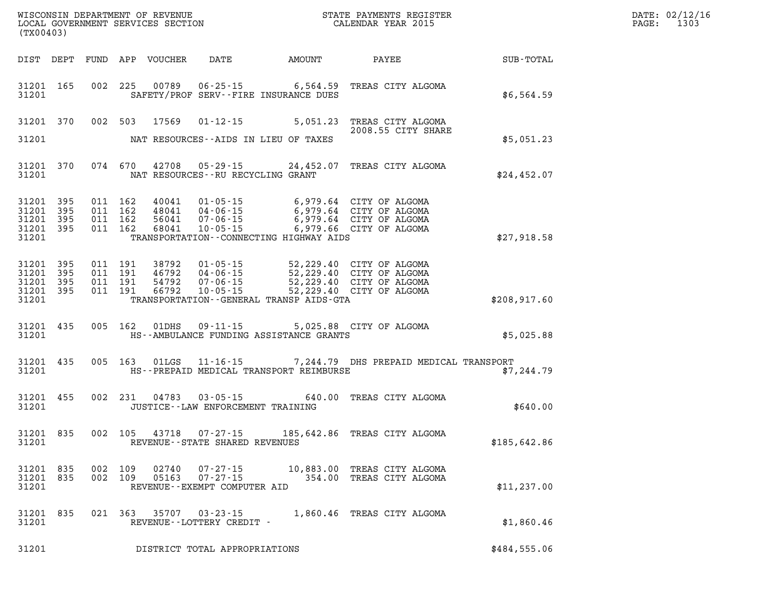| DATE: | 02/12/16 |
|-------|----------|
| PAGE: | 1303     |

| (TX00403)          |                                                  |     |                |                |                                                                  |                                           |                                                                                                                                                                                                                                                                                                                                        | WISCONSIN DEPARTMENT OF REVENUE<br>LOCAL GOVERNMENT SERVICES SECTION<br>CALENDAR YEAR 2015 | DATE: 02/12/1<br>$\mathtt{PAGE}$ :<br>1303 |
|--------------------|--------------------------------------------------|-----|----------------|----------------|------------------------------------------------------------------|-------------------------------------------|----------------------------------------------------------------------------------------------------------------------------------------------------------------------------------------------------------------------------------------------------------------------------------------------------------------------------------------|--------------------------------------------------------------------------------------------|--------------------------------------------|
|                    |                                                  |     |                |                |                                                                  |                                           |                                                                                                                                                                                                                                                                                                                                        |                                                                                            |                                            |
| 31201              | 31201 165                                        |     |                |                |                                                                  | SAFETY/PROF SERV--FIRE INSURANCE DUES     | 002 225 00789 06-25-15 6,564.59 TREAS CITY ALGOMA                                                                                                                                                                                                                                                                                      | \$6,564.59                                                                                 |                                            |
|                    |                                                  |     |                |                |                                                                  |                                           | 31201 370 002 503 17569 01-12-15 5,051.23 TREAS CITY ALGOMA<br>2008.55 CITY SHARE                                                                                                                                                                                                                                                      |                                                                                            |                                            |
| 31201              |                                                  |     |                |                |                                                                  | NAT RESOURCES--AIDS IN LIEU OF TAXES      |                                                                                                                                                                                                                                                                                                                                        | \$5,051.23                                                                                 |                                            |
| 31201              | 31201 370                                        |     |                |                | NAT RESOURCES--RU RECYCLING GRANT                                |                                           | 074 670 42708 05-29-15 24,452.07 TREAS CITY ALGOMA                                                                                                                                                                                                                                                                                     | \$24,452.07                                                                                |                                            |
| 31201              | 31201 395<br>31201 395<br>31201 395<br>31201 395 |     |                |                |                                                                  | TRANSPORTATION -- CONNECTING HIGHWAY AIDS | $\begin{array}{cccccccc} 011 & 162 & 40041 & 01\cdot 05\cdot 15 & 6\,, 979\, .64 & \text{CITY OF ALGOMA} \\ 011 & 162 & 48041 & 04\cdot 06\cdot 15 & 6\,, 979\, .64 & \text{CITY OF ALGOMA} \\ 011 & 162 & 56041 & 07\cdot 06\cdot 15 & 6\,, 979\, .64 & \text{CITY OF ALGOMA} \\ 011 & 162 & 68041 & 10\cdot 05\cdot 15 & 6\,, 979\,$ | \$27,918.58                                                                                |                                            |
| 31201<br>31201     | 31201 395<br>395<br>31201 395<br>31201 395       |     |                |                |                                                                  | TRANSPORTATION--GENERAL TRANSP AIDS-GTA   | 011 191 38792 01-05-15 52,229.40 CITY OF ALGOMA<br>011 191 46792 04-06-15 52,229.40 CITY OF ALGOMA<br>011 191 66792 10-05-15 52,229.40 CITY OF ALGOMA<br>011 191 66792 10-05-15 52,229.40 CITY OF ALGOMA                                                                                                                               | \$208,917.60                                                                               |                                            |
| 31201              | 31201 435                                        |     |                |                |                                                                  | HS--AMBULANCE FUNDING ASSISTANCE GRANTS   | 005 162 01DHS 09-11-15 5,025.88 CITY OF ALGOMA                                                                                                                                                                                                                                                                                         | \$5,025.88                                                                                 |                                            |
| 31201              | 31201 435                                        |     |                |                |                                                                  | HS--PREPAID MEDICAL TRANSPORT REIMBURSE   | 005 163 01LGS 11-16-15 7,244.79 DHS PREPAID MEDICAL TRANSPORT                                                                                                                                                                                                                                                                          | \$7,244.79                                                                                 |                                            |
| 31201              | 31201 455                                        |     |                | 002 231 04783  | JUSTICE -- LAW ENFORCEMENT TRAINING                              |                                           | 03-05-15 640.00 TREAS CITY ALGOMA                                                                                                                                                                                                                                                                                                      | \$640.00                                                                                   |                                            |
| 31201              | 31201 835                                        |     |                |                | REVENUE--STATE SHARED REVENUES                                   |                                           | 002 105 43718 07-27-15 185,642.86 TREAS CITY ALGOMA                                                                                                                                                                                                                                                                                    | \$185,642.86                                                                               |                                            |
| 31201 835<br>31201 | 31201 835                                        | 002 | 109<br>002 109 | 02740<br>05163 | $07 - 27 - 15$<br>$07 - 27 - 15$<br>REVENUE--EXEMPT COMPUTER AID |                                           | 10,883.00 TREAS CITY ALGOMA<br>354.00 TREAS CITY ALGOMA                                                                                                                                                                                                                                                                                | \$11,237.00                                                                                |                                            |
| 31201 835<br>31201 |                                                  |     | 021 363        | 35707          | $03 - 23 - 15$<br>REVENUE--LOTTERY CREDIT -                      |                                           | 1,860.46 TREAS CITY ALGOMA                                                                                                                                                                                                                                                                                                             | \$1,860.46                                                                                 |                                            |
| 31201              |                                                  |     |                |                | DISTRICT TOTAL APPROPRIATIONS                                    |                                           |                                                                                                                                                                                                                                                                                                                                        | \$484,555.06                                                                               |                                            |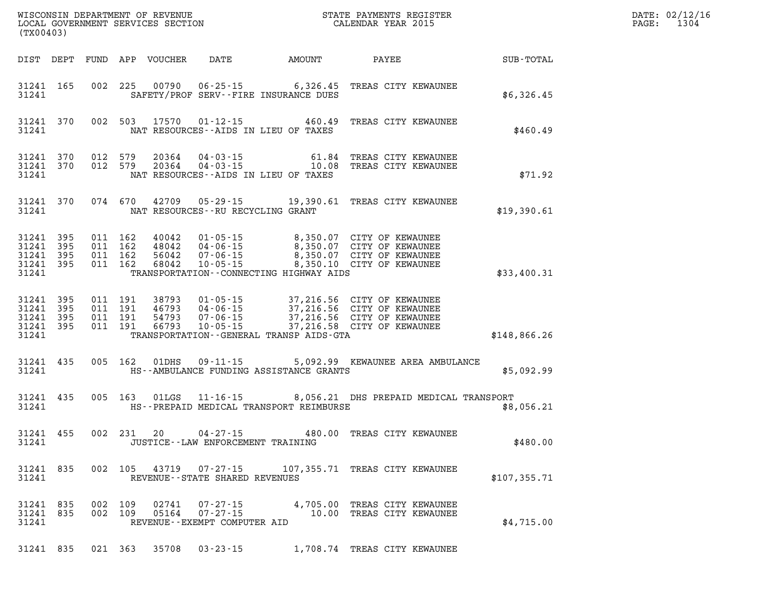| (TX00403)                                                 |                        |                    |                               | LOCAL GOVERNMENT SERVICES SECTION |                                                            |                                                                          |                                                                                                                                                                                              |              | DATE: 02/12/16<br>1304<br>$\mathtt{PAGE}$ : |
|-----------------------------------------------------------|------------------------|--------------------|-------------------------------|-----------------------------------|------------------------------------------------------------|--------------------------------------------------------------------------|----------------------------------------------------------------------------------------------------------------------------------------------------------------------------------------------|--------------|---------------------------------------------|
|                                                           | DIST DEPT              |                    |                               | FUND APP VOUCHER                  | DATE                                                       | <b>AMOUNT</b>                                                            | PAYEE                                                                                                                                                                                        | SUB-TOTAL    |                                             |
| 31241 165<br>31241                                        |                        |                    |                               |                                   |                                                            | 002 225 00790 06-25-15 6,326.45<br>SAFETY/PROF SERV--FIRE INSURANCE DUES | TREAS CITY KEWAUNEE                                                                                                                                                                          | \$6,326.45   |                                             |
| 31241                                                     | 31241 370              |                    | 002 503                       |                                   |                                                            | 17570  01-12-15  460.49<br>NAT RESOURCES--AIDS IN LIEU OF TAXES          | TREAS CITY KEWAUNEE                                                                                                                                                                          | \$460.49     |                                             |
| 31241                                                     | 31241 370<br>31241 370 | 012 579<br>012 579 |                               | 20364                             | 04-03-15                                                   | 61.84<br>NAT RESOURCES--AIDS IN LIEU OF TAXES                            | TREAS CITY KEWAUNEE<br>20364  04-03-15  10.08 TREAS CITY KEWAUNEE                                                                                                                            | \$71.92      |                                             |
| 31241                                                     | 31241 370              |                    |                               |                                   | NAT RESOURCES--RU RECYCLING GRANT                          |                                                                          | 074 670 42709 05-29-15 19,390.61 TREAS CITY KEWAUNEE                                                                                                                                         | \$19,390.61  |                                             |
| 31241 395<br>31241 395<br>31241 395<br>31241 395<br>31241 |                        | 011 162            | 011 162<br>011 162<br>011 162 | 40042<br>48042<br>56042<br>68042  | $01 - 05 - 15$                                             | TRANSPORTATION--CONNECTING HIGHWAY AIDS                                  | 8,350.07 CITY OF KEWAUNEE                                                                                                                                                                    | \$33,400.31  |                                             |
| 31241 395<br>31241<br>31241 395<br>31241 395<br>31241     | 395                    | 011 191<br>011 191 | 011 191<br>011 191            |                                   |                                                            | TRANSPORTATION--GENERAL TRANSP AIDS-GTA                                  | 38793  01-05-15  37,216.56  CITY OF KEWAUNEE<br>46793  04-06-15  37,216.56  CITY OF KEWAUNEE<br>54793  07-06-15  37,216.56  CITY OF KEWAUNEE<br>66793  10-05-15  37,216.58  CITY OF KEWAUNEE | \$148,866.26 |                                             |
| 31241 435<br>31241                                        |                        |                    | 005 162                       | 01DHS                             | $09 - 11 - 15$                                             | HS--AMBULANCE FUNDING ASSISTANCE GRANTS                                  | 5,092.99 KEWAUNEE AREA AMBULANCE                                                                                                                                                             | \$5,092.99   |                                             |
| 31241 435<br>31241                                        |                        |                    | 005 163                       | 01LGS                             |                                                            | HS--PREPAID MEDICAL TRANSPORT REIMBURSE                                  | 11-16-15 8,056.21 DHS PREPAID MEDICAL TRANSPORT                                                                                                                                              | \$8,056.21   |                                             |
| 31241 455<br>31241                                        |                        |                    | 002 231                       | 20                                | 04-27-15<br>JUSTICE - - LAW ENFORCEMENT TRAINING           |                                                                          | 480.00 TREAS CITY KEWAUNEE                                                                                                                                                                   | \$480.00     |                                             |
| 31241                                                     | 31241 835              |                    |                               |                                   | REVENUE--STATE SHARED REVENUES                             |                                                                          | 002 105 43719 07-27-15 107,355.71 TREAS CITY KEWAUNEE                                                                                                                                        | \$107,355.71 |                                             |
| 31241 835<br>31241 835<br>31241                           |                        | 002 109            | 002 109                       | 02741<br>05164                    | 07-27-15<br>$07 - 27 - 15$<br>REVENUE--EXEMPT COMPUTER AID |                                                                          | 4,705.00 TREAS CITY KEWAUNEE<br>10.00 TREAS CITY KEWAUNEE                                                                                                                                    | \$4,715.00   |                                             |
| 31241 835                                                 |                        |                    | 021 363                       | 35708                             | $03 - 23 - 15$                                             |                                                                          | 1,708.74 TREAS CITY KEWAUNEE                                                                                                                                                                 |              |                                             |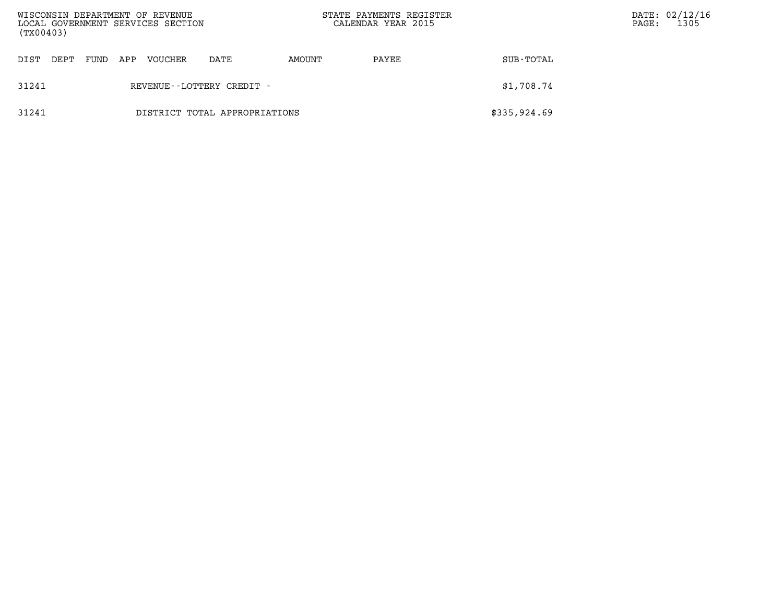| WISCONSIN DEPARTMENT OF REVENUE<br>LOCAL GOVERNMENT SERVICES SECTION<br>(TX00403) |      |      |     |         |                               | STATE PAYMENTS REGISTER<br>CALENDAR YEAR 2015 |       | PAGE:        | DATE: 02/12/16<br>1305 |  |
|-----------------------------------------------------------------------------------|------|------|-----|---------|-------------------------------|-----------------------------------------------|-------|--------------|------------------------|--|
| DIST                                                                              | DEPT | FUND | APP | VOUCHER | DATE                          | AMOUNT                                        | PAYEE | SUB-TOTAL    |                        |  |
| 31241                                                                             |      |      |     |         | REVENUE - - LOTTERY CREDIT -  |                                               |       | \$1,708.74   |                        |  |
| 31241                                                                             |      |      |     |         | DISTRICT TOTAL APPROPRIATIONS |                                               |       | \$335,924.69 |                        |  |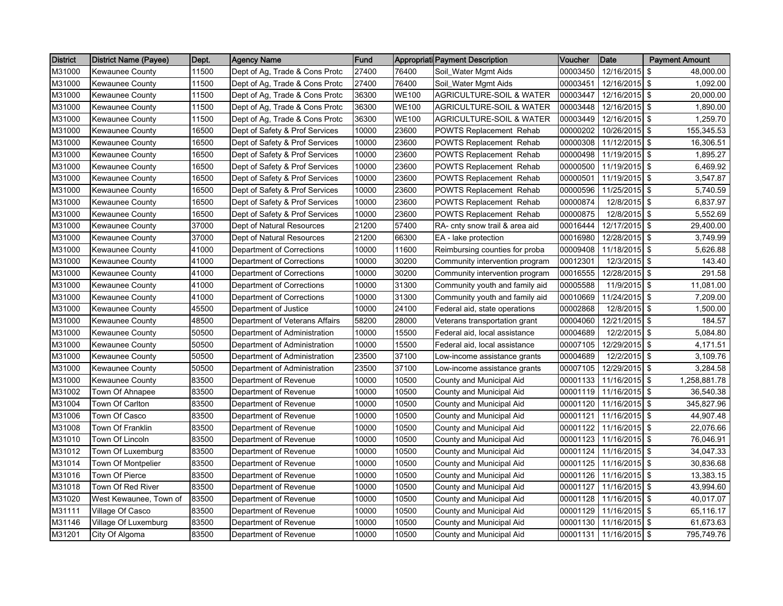| <b>District</b> | <b>District Name (Payee)</b> | Dept. | <b>Agency Name</b>             | Fund  |              | Appropriati Payment Description     | Voucher  | Date          | <b>Payment Amount</b> |
|-----------------|------------------------------|-------|--------------------------------|-------|--------------|-------------------------------------|----------|---------------|-----------------------|
| M31000          | <b>Kewaunee County</b>       | 11500 | Dept of Ag, Trade & Cons Protc | 27400 | 76400        | Soil_Water Mgmt Aids                | 00003450 | 12/16/2015    | 48,000.00<br>-\$      |
| M31000          | <b>Kewaunee County</b>       | 11500 | Dept of Ag, Trade & Cons Protc | 27400 | 76400        | Soil_Water Mgmt Aids                | 00003451 | 12/16/2015 \$ | 1,092.00              |
| M31000          | <b>Kewaunee County</b>       | 11500 | Dept of Ag, Trade & Cons Protc | 36300 | <b>WE100</b> | <b>AGRICULTURE-SOIL &amp; WATER</b> | 00003447 | 12/16/2015 \$ | 20,000.00             |
| M31000          | <b>Kewaunee County</b>       | 11500 | Dept of Ag, Trade & Cons Protc | 36300 | <b>WE100</b> | <b>AGRICULTURE-SOIL &amp; WATER</b> | 00003448 | 12/16/2015 \$ | 1,890.00              |
| M31000          | Kewaunee County              | 11500 | Dept of Ag, Trade & Cons Protc | 36300 | <b>WE100</b> | <b>AGRICULTURE-SOIL &amp; WATER</b> | 00003449 | 12/16/2015 \$ | 1,259.70              |
| M31000          | Kewaunee County              | 16500 | Dept of Safety & Prof Services | 10000 | 23600        | <b>POWTS Replacement Rehab</b>      | 00000202 | 10/26/2015 \$ | 155,345.53            |
| M31000          | <b>Kewaunee County</b>       | 16500 | Dept of Safety & Prof Services | 10000 | 23600        | POWTS Replacement Rehab             | 00000308 | 11/12/2015 \$ | 16,306.51             |
| M31000          | <b>Kewaunee County</b>       | 16500 | Dept of Safety & Prof Services | 10000 | 23600        | POWTS Replacement Rehab             | 00000498 | 11/19/2015 \$ | 1,895.27              |
| M31000          | <b>Kewaunee County</b>       | 16500 | Dept of Safety & Prof Services | 10000 | 23600        | POWTS Replacement Rehab             | 00000500 | 11/19/2015 \$ | 6,469.92              |
| M31000          | <b>Kewaunee County</b>       | 16500 | Dept of Safety & Prof Services | 10000 | 23600        | <b>POWTS Replacement Rehab</b>      | 00000501 | 11/19/2015 \$ | 3,547.87              |
| M31000          | <b>Kewaunee County</b>       | 16500 | Dept of Safety & Prof Services | 10000 | 23600        | <b>POWTS Replacement Rehab</b>      | 00000596 | 11/25/2015 \$ | 5,740.59              |
| M31000          | <b>Kewaunee County</b>       | 16500 | Dept of Safety & Prof Services | 10000 | 23600        | <b>POWTS Replacement Rehab</b>      | 00000874 | 12/8/2015     | -\$<br>6,837.97       |
| M31000          | <b>Kewaunee County</b>       | 16500 | Dept of Safety & Prof Services | 10000 | 23600        | <b>POWTS Replacement Rehab</b>      | 00000875 | 12/8/2015 \$  | 5,552.69              |
| M31000          | <b>Kewaunee County</b>       | 37000 | Dept of Natural Resources      | 21200 | 57400        | RA- cnty snow trail & area aid      | 00016444 | 12/17/2015 \$ | 29,400.00             |
| M31000          | Kewaunee County              | 37000 | Dept of Natural Resources      | 21200 | 66300        | EA - lake protection                | 00016980 | 12/28/2015    | -\$<br>3,749.99       |
| M31000          | Kewaunee County              | 41000 | Department of Corrections      | 10000 | 11600        | Reimbursing counties for proba      | 00009408 | 11/18/2015 \$ | 5,626.88              |
| M31000          | Kewaunee County              | 41000 | Department of Corrections      | 10000 | 30200        | Community intervention program      | 00012301 | 12/3/2015 \$  | 143.40                |
| M31000          | <b>Kewaunee County</b>       | 41000 | Department of Corrections      | 10000 | 30200        | Community intervention program      | 00016555 | 12/28/2015 \$ | 291.58                |
| M31000          | <b>Kewaunee County</b>       | 41000 | Department of Corrections      | 10000 | 31300        | Community youth and family aid      | 00005588 | 11/9/2015 \$  | 11,081.00             |
| M31000          | <b>Kewaunee County</b>       | 41000 | Department of Corrections      | 10000 | 31300        | Community youth and family aid      | 00010669 | 11/24/2015 \$ | 7,209.00              |
| M31000          | <b>Kewaunee County</b>       | 45500 | Department of Justice          | 10000 | 24100        | Federal aid, state operations       | 00002868 | 12/8/2015 \$  | 1,500.00              |
| M31000          | <b>Kewaunee County</b>       | 48500 | Department of Veterans Affairs | 58200 | 28000        | Veterans transportation grant       | 00004060 | 12/21/2015 \$ | 184.57                |
| M31000          | Kewaunee County              | 50500 | Department of Administration   | 10000 | 15500        | Federal aid, local assistance       | 00004689 | 12/2/2015     | <b>S</b><br>5,084.80  |
| M31000          | Kewaunee County              | 50500 | Department of Administration   | 10000 | 15500        | Federal aid, local assistance       | 00007105 | 12/29/2015 \$ | 4,171.51              |
| M31000          | <b>Kewaunee County</b>       | 50500 | Department of Administration   | 23500 | 37100        | Low-income assistance grants        | 00004689 | 12/2/2015 \$  | 3,109.76              |
| M31000          | Kewaunee County              | 50500 | Department of Administration   | 23500 | 37100        | Low-income assistance grants        | 00007105 | 12/29/2015    | <b>S</b><br>3,284.58  |
| M31000          | Kewaunee County              | 83500 | Department of Revenue          | 10000 | 10500        | County and Municipal Aid            | 00001133 | 11/16/2015 \$ | 1,258,881.78          |
| M31002          | Town Of Ahnapee              | 83500 | Department of Revenue          | 10000 | 10500        | County and Municipal Aid            | 00001119 | 11/16/2015 \$ | 36,540.38             |
| M31004          | Town Of Carlton              | 83500 | Department of Revenue          | 10000 | 10500        | County and Municipal Aid            | 00001120 | 11/16/2015 \$ | 345,827.96            |
| M31006          | Town Of Casco                | 83500 | Department of Revenue          | 10000 | 10500        | County and Municipal Aid            | 00001121 | 11/16/2015 \$ | 44,907.48             |
| M31008          | Town Of Franklin             | 83500 | Department of Revenue          | 10000 | 10500        | County and Municipal Aid            | 00001122 | 11/16/2015 \$ | 22,076.66             |
| M31010          | Town Of Lincoln              | 83500 | Department of Revenue          | 10000 | 10500        | County and Municipal Aid            | 00001123 | 11/16/2015 \$ | 76,046.91             |
| M31012          | Town Of Luxemburg            | 83500 | Department of Revenue          | 10000 | 10500        | County and Municipal Aid            | 00001124 | 11/16/2015 \$ | 34,047.33             |
| M31014          | Town Of Montpelier           | 83500 | Department of Revenue          | 10000 | 10500        | County and Municipal Aid            | 00001125 | 11/16/2015 \$ | 30,836.68             |
| M31016          | <b>Town Of Pierce</b>        | 83500 | Department of Revenue          | 10000 | 10500        | County and Municipal Aid            | 00001126 | 11/16/2015 \$ | 13,383.15             |
| M31018          | Town Of Red River            | 83500 | Department of Revenue          | 10000 | 10500        | County and Municipal Aid            | 00001127 | 11/16/2015 \$ | 43,994.60             |
| M31020          | West Kewaunee, Town of       | 83500 | Department of Revenue          | 10000 | 10500        | County and Municipal Aid            | 00001128 | 11/16/2015    | <b>S</b><br>40,017.07 |
| M31111          | Village Of Casco             | 83500 | Department of Revenue          | 10000 | 10500        | County and Municipal Aid            | 00001129 | 11/16/2015 \$ | 65,116.17             |
| M31146          | Village Of Luxemburg         | 83500 | Department of Revenue          | 10000 | 10500        | County and Municipal Aid            | 00001130 | 11/16/2015 \$ | 61,673.63             |
| M31201          | City Of Algoma               | 83500 | Department of Revenue          | 10000 | 10500        | County and Municipal Aid            | 00001131 | 11/16/2015 \$ | 795,749.76            |